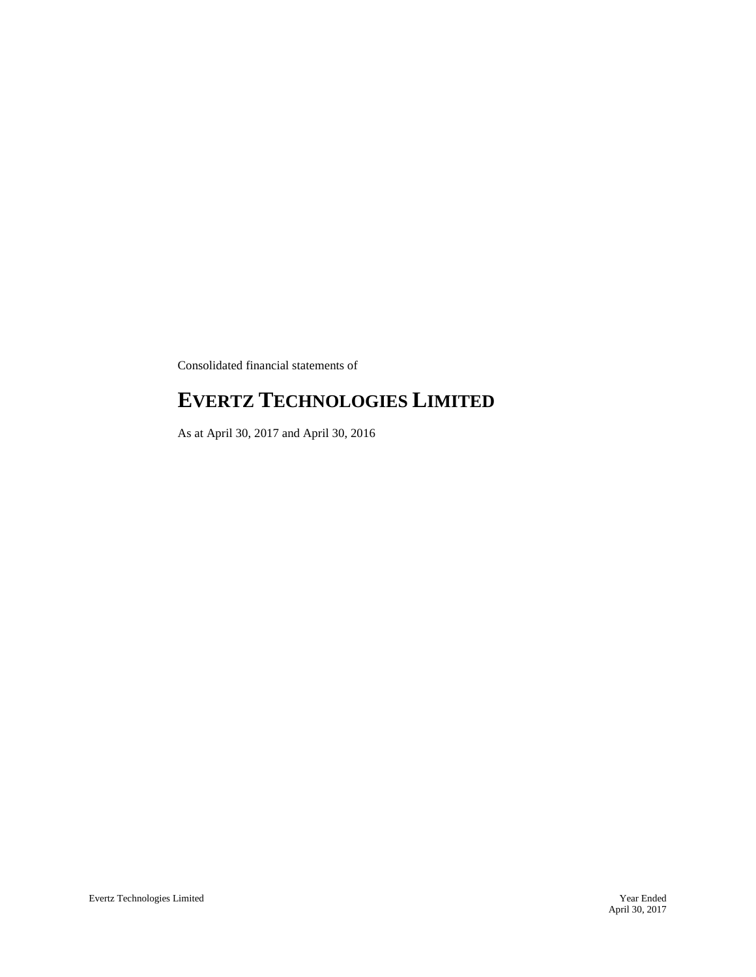Consolidated financial statements of

## **EVERTZ TECHNOLOGIES LIMITED**

As at April 30, 2017 and April 30, 2016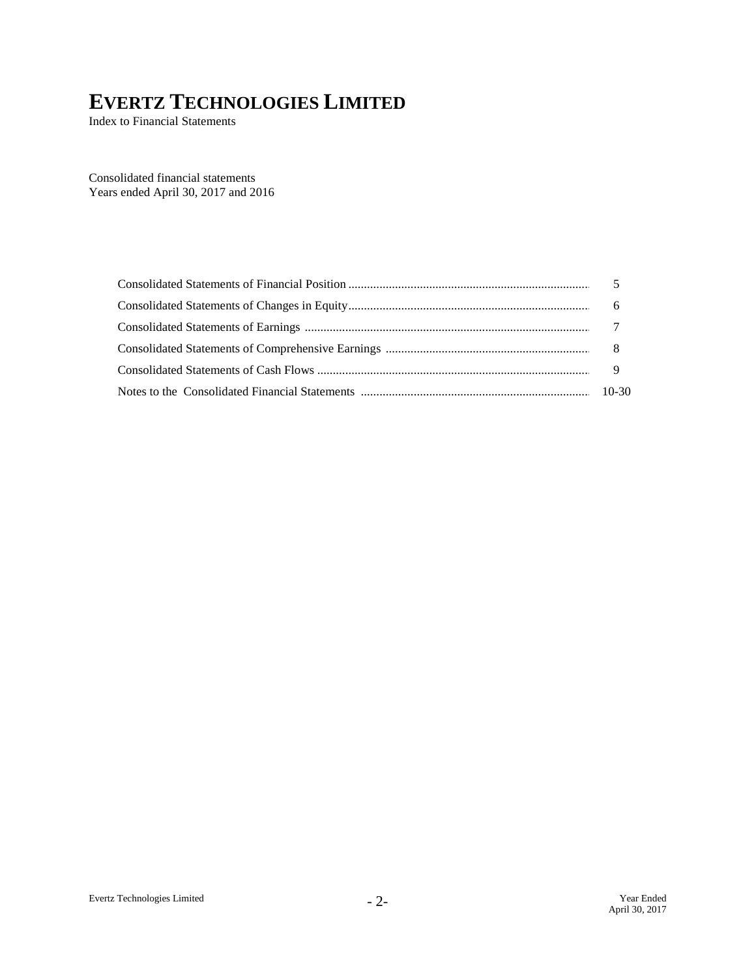Index to Financial Statements

Consolidated financial statements Years ended April 30, 2017 and 2016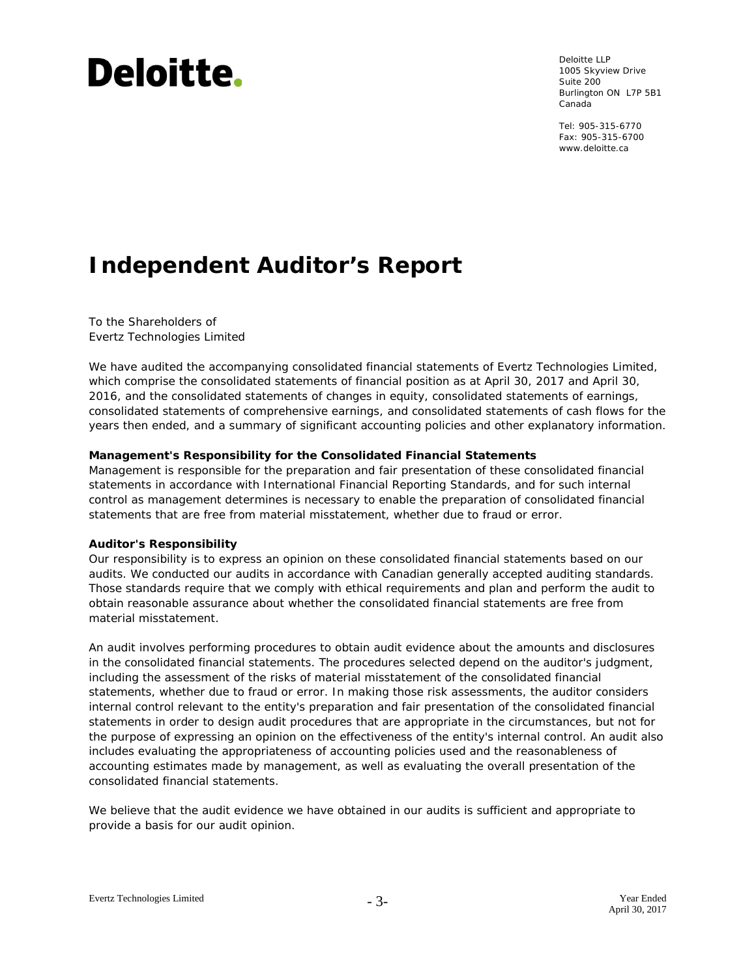# **Deloitte.**

Deloitte LLP 1005 Skyview Drive Suite 200 Burlington ON L7P 5B1 Canada

Tel: 905-315-6770 Fax: 905-315-6700 www.deloitte.ca

# **Independent Auditor's Report**

To the Shareholders of Evertz Technologies Limited

We have audited the accompanying consolidated financial statements of Evertz Technologies Limited, which comprise the consolidated statements of financial position as at April 30, 2017 and April 30, 2016, and the consolidated statements of changes in equity, consolidated statements of earnings, consolidated statements of comprehensive earnings, and consolidated statements of cash flows for the years then ended, and a summary of significant accounting policies and other explanatory information.

#### **Management's Responsibility for the Consolidated Financial Statements**

Management is responsible for the preparation and fair presentation of these consolidated financial statements in accordance with International Financial Reporting Standards, and for such internal control as management determines is necessary to enable the preparation of consolidated financial statements that are free from material misstatement, whether due to fraud or error.

#### **Auditor's Responsibility**

Our responsibility is to express an opinion on these consolidated financial statements based on our audits. We conducted our audits in accordance with Canadian generally accepted auditing standards. Those standards require that we comply with ethical requirements and plan and perform the audit to obtain reasonable assurance about whether the consolidated financial statements are free from material misstatement.

An audit involves performing procedures to obtain audit evidence about the amounts and disclosures in the consolidated financial statements. The procedures selected depend on the auditor's judgment, including the assessment of the risks of material misstatement of the consolidated financial statements, whether due to fraud or error. In making those risk assessments, the auditor considers internal control relevant to the entity's preparation and fair presentation of the consolidated financial statements in order to design audit procedures that are appropriate in the circumstances, but not for the purpose of expressing an opinion on the effectiveness of the entity's internal control. An audit also includes evaluating the appropriateness of accounting policies used and the reasonableness of accounting estimates made by management, as well as evaluating the overall presentation of the consolidated financial statements.

We believe that the audit evidence we have obtained in our audits is sufficient and appropriate to provide a basis for our audit opinion.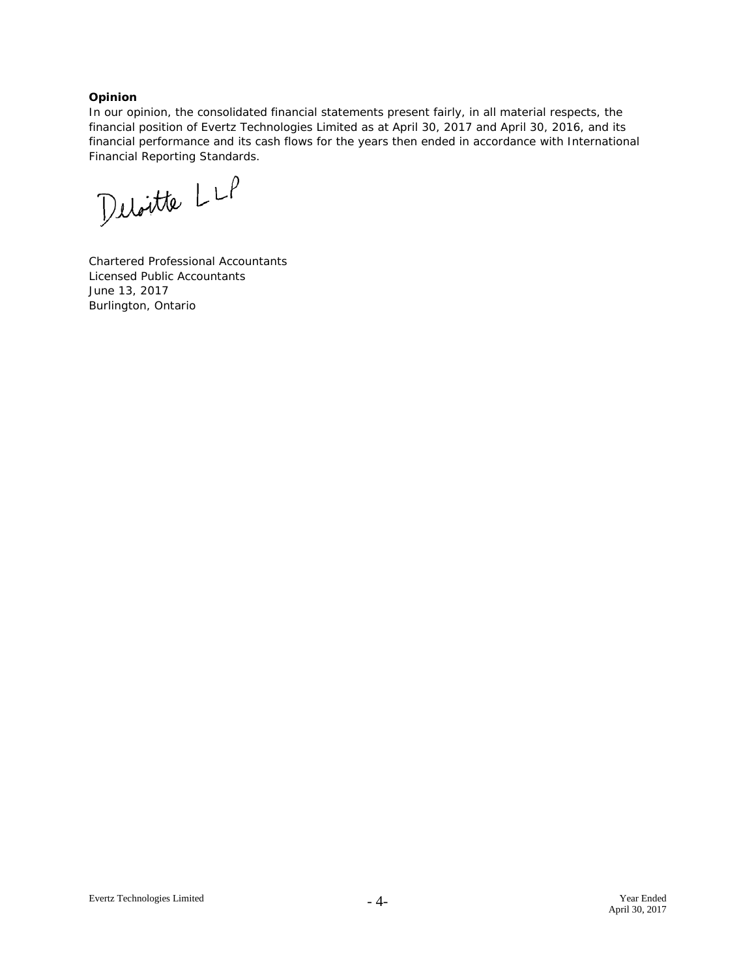#### **Opinion**

In our opinion, the consolidated financial statements present fairly, in all material respects, the financial position of Evertz Technologies Limited as at April 30, 2017 and April 30, 2016, and its financial performance and its cash flows for the years then ended in accordance with International Financial Reporting Standards.

Deloitte LLP

Chartered Professional Accountants Licensed Public Accountants June 13, 2017 Burlington, Ontario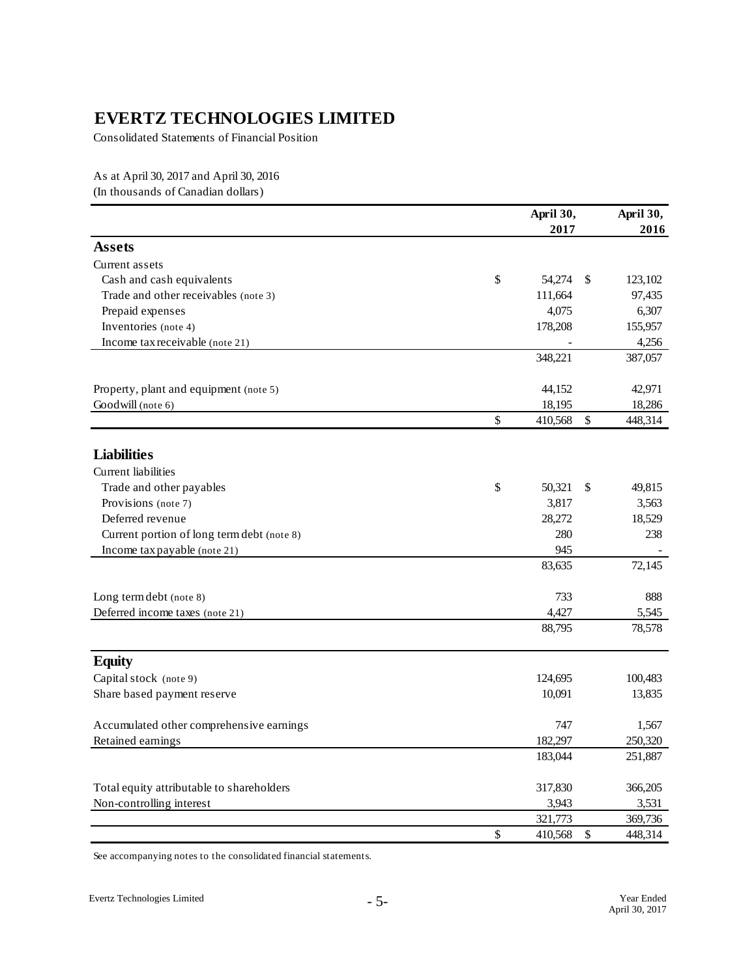Consolidated Statements of Financial Position

As at April 30, 2017 and April 30, 2016

(In thousands of Canadian dollars)

|                                            |               | April 30, |                           | April 30, |
|--------------------------------------------|---------------|-----------|---------------------------|-----------|
|                                            |               | 2017      |                           | 2016      |
| <b>Assets</b>                              |               |           |                           |           |
| Current assets                             |               |           |                           |           |
| Cash and cash equivalents                  | $\mathsf{\$}$ | 54,274    | <sup>\$</sup>             | 123,102   |
| Trade and other receivables (note 3)       |               | 111,664   |                           | 97,435    |
| Prepaid expenses                           |               | 4,075     |                           | 6,307     |
| Inventories (note 4)                       |               | 178,208   |                           | 155,957   |
| Income tax receivable (note 21)            |               |           |                           | 4,256     |
|                                            |               | 348,221   |                           | 387,057   |
| Property, plant and equipment (note 5)     |               | 44,152    |                           | 42,971    |
| Goodwill (note 6)                          |               | 18,195    |                           | 18,286    |
|                                            | $\mathsf{\$}$ | 410,568   | $\boldsymbol{\mathsf{S}}$ | 448,314   |
|                                            |               |           |                           |           |
| <b>Liabilities</b>                         |               |           |                           |           |
| <b>Current</b> liabilities                 |               |           |                           |           |
| Trade and other payables                   | \$            | 50,321    | \$                        | 49,815    |
| Provisions (note 7)                        |               | 3,817     |                           | 3,563     |
| Deferred revenue                           |               | 28,272    |                           | 18,529    |
| Current portion of long term debt (note 8) |               | 280       |                           | 238       |
| Income tax payable (note 21)               |               | 945       |                           |           |
|                                            |               | 83,635    |                           | 72,145    |
| Long term debt (note 8)                    |               | 733       |                           | 888       |
| Deferred income taxes (note 21)            |               | 4,427     |                           | 5,545     |
|                                            |               | 88,795    |                           | 78,578    |
| <b>Equity</b>                              |               |           |                           |           |
| Capital stock (note 9)                     |               | 124,695   |                           | 100,483   |
| Share based payment reserve                |               | 10,091    |                           | 13,835    |
|                                            |               |           |                           |           |
| Accumulated other comprehensive earnings   |               | 747       |                           | 1,567     |
| Retained earnings                          |               | 182,297   |                           | 250,320   |
|                                            |               | 183,044   |                           | 251,887   |
| Total equity attributable to shareholders  |               | 317,830   |                           | 366,205   |
| Non-controlling interest                   |               | 3,943     |                           | 3,531     |
|                                            |               | 321,773   |                           | 369,736   |
|                                            | \$            | 410,568   | \$                        | 448,314   |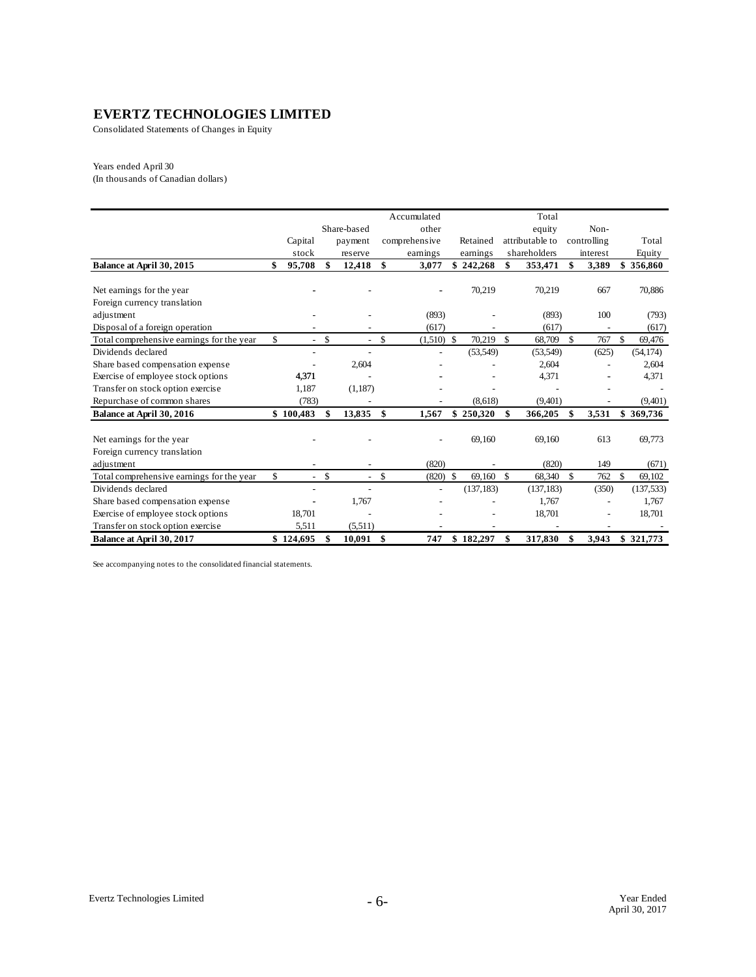Consolidated Statements of Changes in Equity

#### Years ended April 30

(In thousands of Canadian dollars)

|                                           |                                |                                |               | Accumulated               |  |            |                 | Total        |          |             |              |
|-------------------------------------------|--------------------------------|--------------------------------|---------------|---------------------------|--|------------|-----------------|--------------|----------|-------------|--------------|
|                                           |                                | Share-based                    | other         |                           |  |            |                 | equity       |          | Non-        |              |
|                                           | Capital                        | payment                        |               | comprehensive<br>Retained |  |            | attributable to |              |          | controlling | Total        |
|                                           | stock                          | reserve                        |               | earnings                  |  | earnings   |                 | shareholders | interest |             | Equity       |
| Balance at April 30, 2015                 | \$<br>95,708                   | 12,418                         | \$            | 3,077                     |  | \$242,268  | \$              | 353,471      | \$       | 3,389       | 356,860      |
|                                           |                                |                                |               |                           |  |            |                 |              |          |             |              |
| Net earnings for the year                 |                                |                                |               |                           |  | 70,219     |                 | 70,219       |          | 667         | 70,886       |
| Foreign currency translation              |                                |                                |               |                           |  |            |                 |              |          |             |              |
| adjustment                                |                                |                                |               | (893)                     |  |            |                 | (893)        |          | 100         | (793)        |
| Disposal of a foreign operation           |                                |                                |               | (617)                     |  |            |                 | (617)        |          |             | (617)        |
| Total comprehensive earnings for the year | \$<br>$\overline{\phantom{a}}$ | \$<br>$\overline{\phantom{a}}$ | \$            | $(1,510)$ \$              |  | 70,219     | $\mathbf{s}$    | 68,709       | \$       | 767         | \$<br>69,476 |
| Dividends declared                        |                                |                                |               | $\overline{\phantom{a}}$  |  | (53, 549)  |                 | (53, 549)    |          | (625)       | (54, 174)    |
| Share based compensation expense          |                                | 2,604                          |               |                           |  |            |                 | 2,604        |          |             | 2,604        |
| Exercise of employee stock options        | 4,371                          |                                |               |                           |  |            |                 | 4,371        |          |             | 4,371        |
| Transfer on stock option exercise         | 1,187                          | (1,187)                        |               |                           |  |            |                 |              |          |             |              |
| Repurchase of common shares               | (783)                          |                                |               |                           |  | (8,618)    |                 | (9,401)      |          |             | (9,401)      |
| Balance at April 30, 2016                 | \$100,483                      | \$<br>13,835                   | -\$           | 1,567                     |  | \$250,320  | \$              | 366,205      | \$       | 3,531       | \$369,736    |
|                                           |                                |                                |               |                           |  |            |                 |              |          |             |              |
| Net earnings for the year                 |                                |                                |               |                           |  | 69,160     |                 | 69.160       |          | 613         | 69,773       |
| Foreign currency translation              |                                |                                |               |                           |  |            |                 |              |          |             |              |
| adjustment                                |                                |                                |               | (820)                     |  |            |                 | (820)        |          | 149         | (671)        |
| Total comprehensive earnings for the year | \$<br>$\sim$                   | \$<br>$\sim$                   | $\mathcal{S}$ | $(820)$ \$                |  | 69.160     | $\mathbf S$     | 68,340       | \$       | 762         | \$<br>69,102 |
| Dividends declared                        |                                | $\overline{\phantom{a}}$       |               | $\overline{\phantom{a}}$  |  | (137, 183) |                 | (137, 183)   |          | (350)       | (137, 533)   |
| Share based compensation expense          |                                | 1,767                          |               |                           |  |            |                 | 1,767        |          |             | 1,767        |
| Exercise of employee stock options        | 18,701                         |                                |               |                           |  |            |                 | 18,701       |          |             | 18,701       |
| Transfer on stock option exercise         | 5,511                          | (5,511)                        |               |                           |  |            |                 |              |          |             |              |
| Balance at April 30, 2017                 | \$124,695                      | \$<br>10.091                   | \$            | 747                       |  | \$182,297  | \$              | 317,830      | \$       | 3,943       | \$321,773    |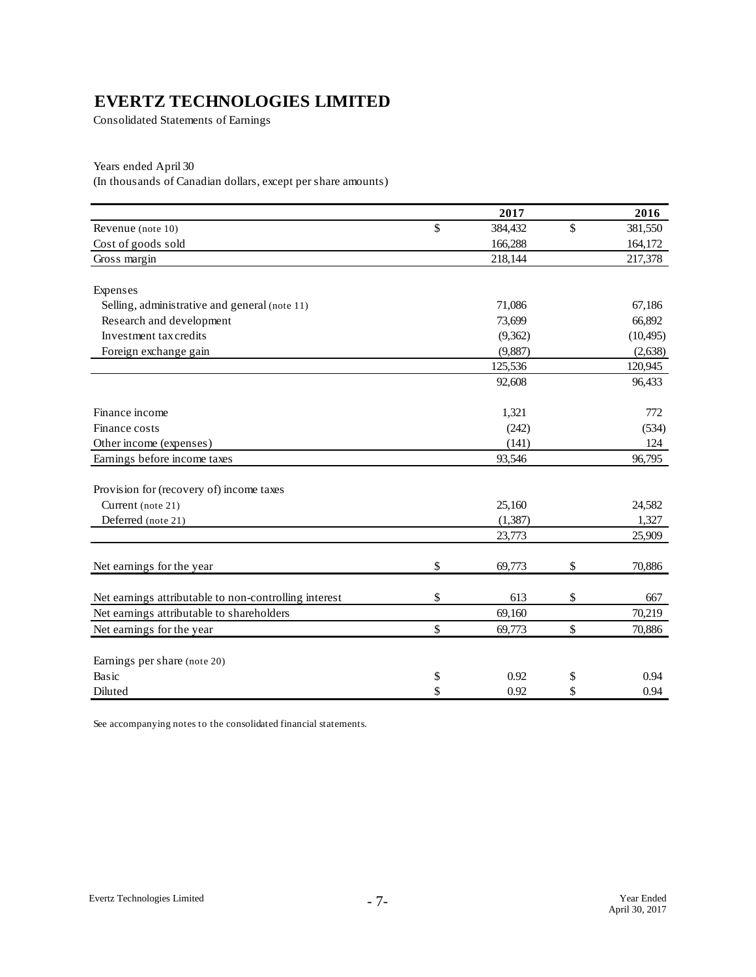Consolidated Statements of Earnings

Years ended April 30

(In thousands of Canadian dollars, except per share amounts)

|                                                       | 2017          | 2016          |
|-------------------------------------------------------|---------------|---------------|
| Revenue (note 10)                                     | \$<br>384,432 | \$<br>381,550 |
| Cost of goods sold                                    | 166,288       | 164,172       |
| Gross margin                                          | 218,144       | 217,378       |
| Expenses                                              |               |               |
| Selling, administrative and general (note 11)         | 71,086        | 67,186        |
| Research and development                              | 73,699        | 66,892        |
| Investment tax credits                                | (9,362)       | (10, 495)     |
| Foreign exchange gain                                 | (9,887)       | (2,638)       |
|                                                       | 125,536       | 120,945       |
|                                                       | 92,608        | 96,433        |
| Finance income                                        | 1,321         | 772           |
| Finance costs                                         | (242)         | (534)         |
| Other income (expenses)                               | (141)         | 124           |
| Earnings before income taxes                          | 93,546        | 96,795        |
| Provision for (recovery of) income taxes              |               |               |
| Current (note 21)                                     | 25,160        | 24,582        |
| Deferred (note 21)                                    | (1, 387)      | 1,327         |
|                                                       | 23,773        | 25,909        |
| Net earnings for the year                             | \$<br>69,773  | \$<br>70,886  |
|                                                       |               |               |
| Net earnings attributable to non-controlling interest | \$<br>613     | \$<br>667     |
| Net earnings attributable to shareholders             | 69,160        | 70,219        |
| Net earnings for the year                             | \$<br>69,773  | \$<br>70,886  |
| Earnings per share (note 20)                          |               |               |
| Basic                                                 | \$<br>0.92    | \$<br>0.94    |
| Diluted                                               | \$<br>0.92    | \$<br>0.94    |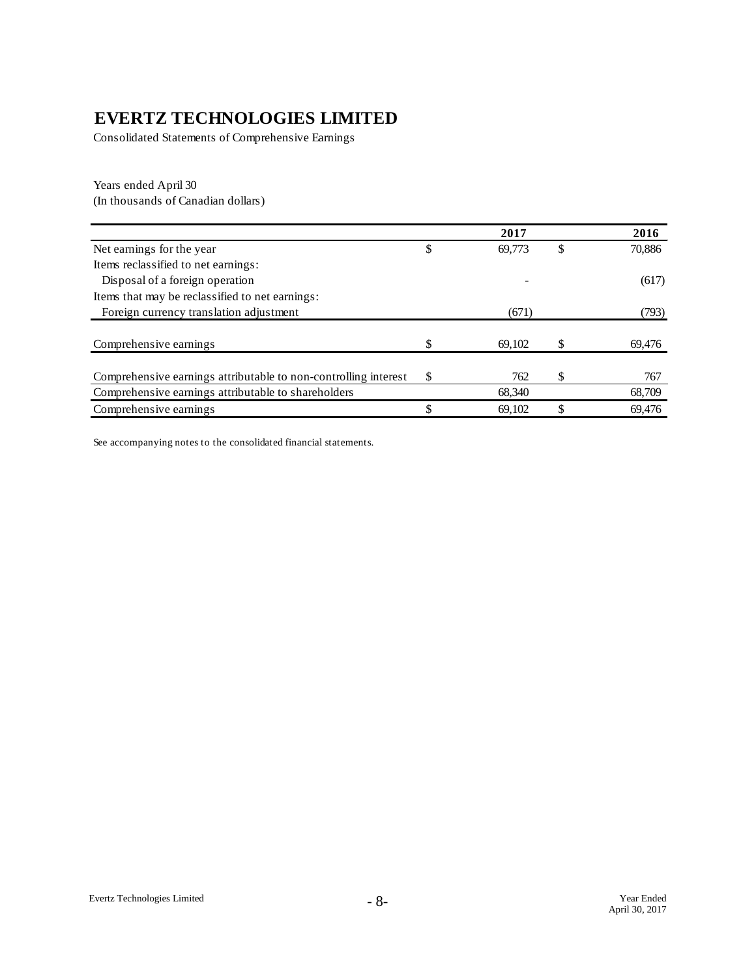Consolidated Statements of Comprehensive Earnings

Years ended April 30 (In thousands of Canadian dollars)

|                                                                 |    | 2017   | 2016         |
|-----------------------------------------------------------------|----|--------|--------------|
| Net earnings for the year.                                      | \$ | 69,773 | \$<br>70,886 |
| Items reclassified to net earnings:                             |    |        |              |
| Disposal of a foreign operation                                 |    |        | (617)        |
| Items that may be reclassified to net earnings:                 |    |        |              |
| Foreign currency translation adjustment                         |    | (671)  | (793)        |
|                                                                 |    |        |              |
| Comprehensive earnings                                          |    | 69,102 | 69,476       |
|                                                                 |    |        |              |
| Comprehensive earnings attributable to non-controlling interest | S  | 762    | \$<br>767    |
| Comprehensive earnings attributable to shareholders             |    | 68,340 | 68,709       |
| Comprehensive earnings                                          |    | 69,102 | 69,476       |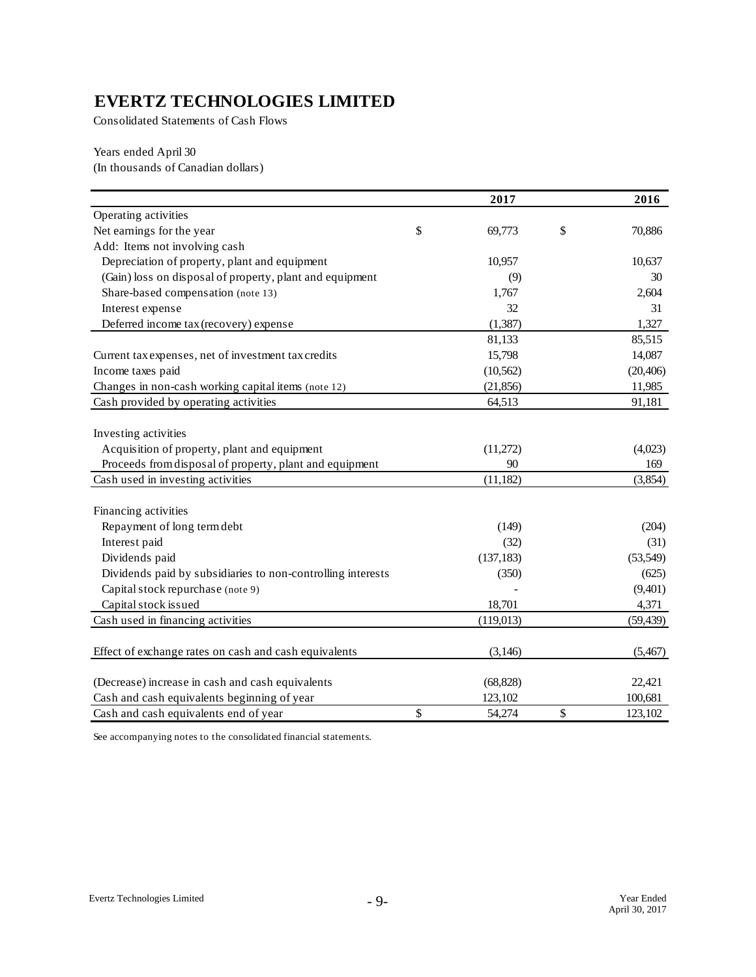Consolidated Statements of Cash Flows

Years ended April 30 (In thousands of Canadian dollars)

|                                                             | 2017         | 2016          |
|-------------------------------------------------------------|--------------|---------------|
| Operating activities                                        |              |               |
| Net earnings for the year                                   | \$<br>69,773 | \$<br>70,886  |
| Add: Items not involving cash                               |              |               |
| Depreciation of property, plant and equipment               | 10,957       | 10,637        |
| (Gain) loss on disposal of property, plant and equipment    | (9)          | 30            |
| Share-based compensation (note 13)                          | 1,767        | 2,604         |
| Interest expense                                            | 32           | 31            |
| Deferred income tax (recovery) expense                      | (1, 387)     | 1,327         |
|                                                             | 81,133       | 85,515        |
| Current tax expenses, net of investment tax credits         | 15,798       | 14,087        |
| Income taxes paid                                           | (10, 562)    | (20, 406)     |
| Changes in non-cash working capital items (note 12)         | (21, 856)    | 11,985        |
| Cash provided by operating activities                       | 64,513       | 91,181        |
| Investing activities                                        |              |               |
| Acquisition of property, plant and equipment                | (11,272)     | (4,023)       |
| Proceeds from disposal of property, plant and equipment     | 90           | 169           |
| Cash used in investing activities                           | (11, 182)    | (3,854)       |
| Financing activities                                        |              |               |
| Repayment of long term debt                                 | (149)        | (204)         |
| Interest paid                                               | (32)         | (31)          |
| Dividends paid                                              | (137, 183)   | (53, 549)     |
| Dividends paid by subsidiaries to non-controlling interests | (350)        | (625)         |
| Capital stock repurchase (note 9)                           |              | (9,401)       |
| Capital stock issued                                        | 18,701       | 4,371         |
| Cash used in financing activities                           | (119, 013)   | (59, 439)     |
| Effect of exchange rates on cash and cash equivalents       | (3,146)      | (5,467)       |
| (Decrease) increase in cash and cash equivalents            | (68, 828)    | 22,421        |
| Cash and cash equivalents beginning of year                 | 123,102      | 100,681       |
| Cash and cash equivalents end of year                       | \$<br>54,274 | \$<br>123,102 |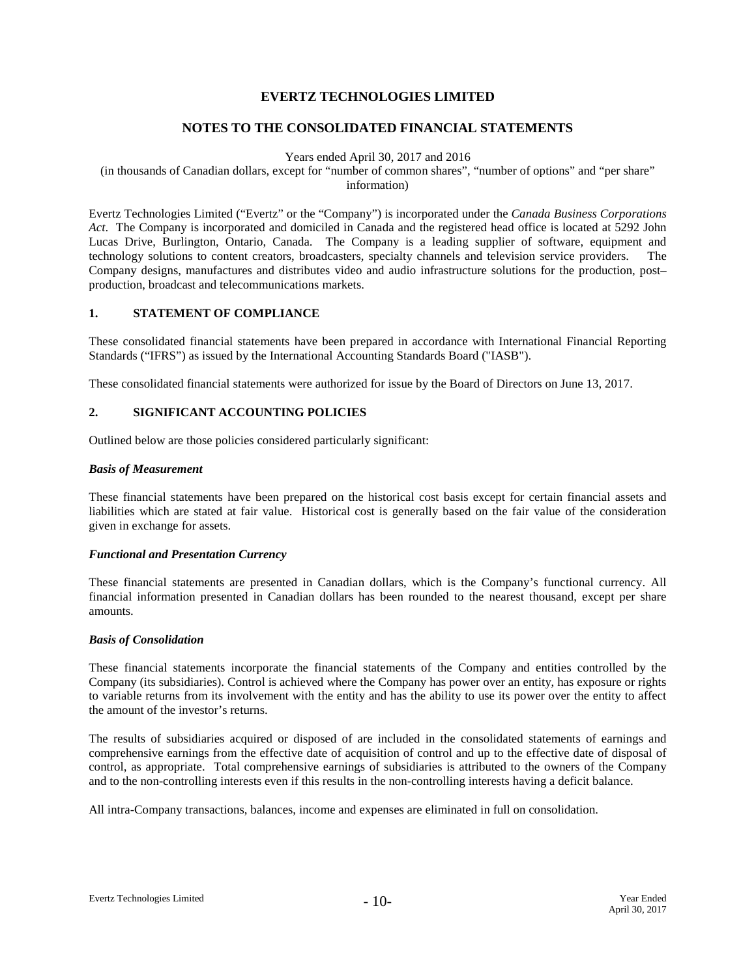#### **NOTES TO THE CONSOLIDATED FINANCIAL STATEMENTS**

Years ended April 30, 2017 and 2016

(in thousands of Canadian dollars, except for "number of common shares", "number of options" and "per share" information)

Evertz Technologies Limited ("Evertz" or the "Company") is incorporated under the *Canada Business Corporations Act*. The Company is incorporated and domiciled in Canada and the registered head office is located at 5292 John Lucas Drive, Burlington, Ontario, Canada. The Company is a leading supplier of software, equipment and technology solutions to content creators, broadcasters, specialty channels and television service providers. The Company designs, manufactures and distributes video and audio infrastructure solutions for the production, post– production, broadcast and telecommunications markets.

#### **1. STATEMENT OF COMPLIANCE**

These consolidated financial statements have been prepared in accordance with International Financial Reporting Standards ("IFRS") as issued by the International Accounting Standards Board ("IASB").

These consolidated financial statements were authorized for issue by the Board of Directors on June 13, 2017.

#### **2. SIGNIFICANT ACCOUNTING POLICIES**

Outlined below are those policies considered particularly significant:

#### *Basis of Measurement*

These financial statements have been prepared on the historical cost basis except for certain financial assets and liabilities which are stated at fair value. Historical cost is generally based on the fair value of the consideration given in exchange for assets.

#### *Functional and Presentation Currency*

These financial statements are presented in Canadian dollars, which is the Company's functional currency. All financial information presented in Canadian dollars has been rounded to the nearest thousand, except per share amounts.

#### *Basis of Consolidation*

These financial statements incorporate the financial statements of the Company and entities controlled by the Company (its subsidiaries). Control is achieved where the Company has power over an entity, has exposure or rights to variable returns from its involvement with the entity and has the ability to use its power over the entity to affect the amount of the investor's returns.

The results of subsidiaries acquired or disposed of are included in the consolidated statements of earnings and comprehensive earnings from the effective date of acquisition of control and up to the effective date of disposal of control, as appropriate. Total comprehensive earnings of subsidiaries is attributed to the owners of the Company and to the non-controlling interests even if this results in the non-controlling interests having a deficit balance.

All intra-Company transactions, balances, income and expenses are eliminated in full on consolidation.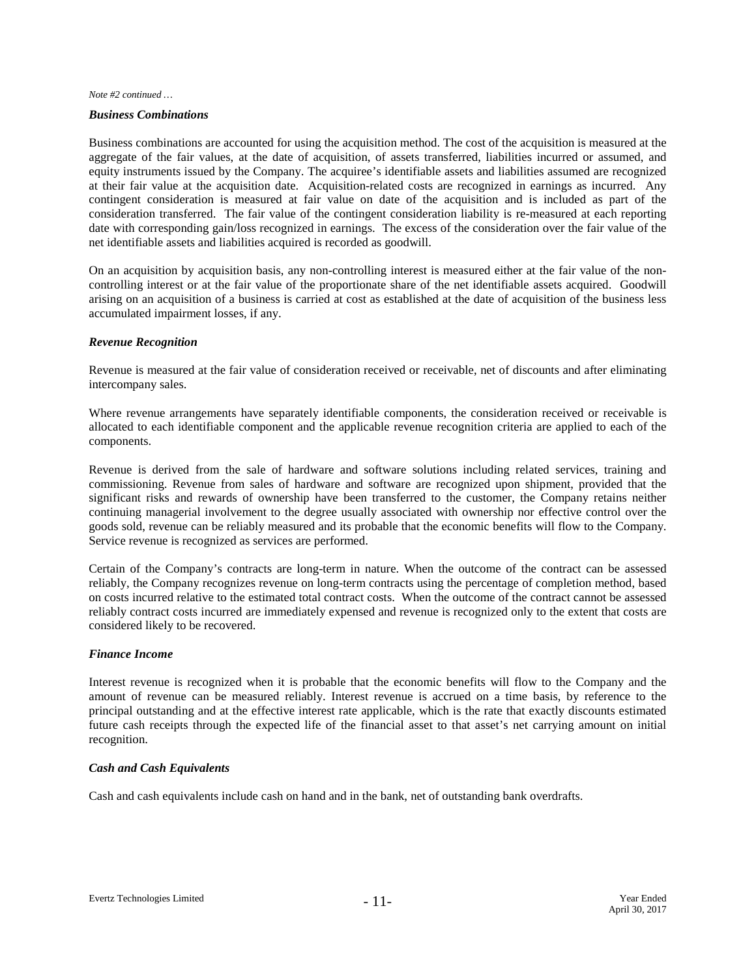#### *Business Combinations*

Business combinations are accounted for using the acquisition method. The cost of the acquisition is measured at the aggregate of the fair values, at the date of acquisition, of assets transferred, liabilities incurred or assumed, and equity instruments issued by the Company. The acquiree's identifiable assets and liabilities assumed are recognized at their fair value at the acquisition date. Acquisition-related costs are recognized in earnings as incurred. Any contingent consideration is measured at fair value on date of the acquisition and is included as part of the consideration transferred. The fair value of the contingent consideration liability is re-measured at each reporting date with corresponding gain/loss recognized in earnings. The excess of the consideration over the fair value of the net identifiable assets and liabilities acquired is recorded as goodwill.

On an acquisition by acquisition basis, any non-controlling interest is measured either at the fair value of the noncontrolling interest or at the fair value of the proportionate share of the net identifiable assets acquired. Goodwill arising on an acquisition of a business is carried at cost as established at the date of acquisition of the business less accumulated impairment losses, if any.

#### *Revenue Recognition*

Revenue is measured at the fair value of consideration received or receivable, net of discounts and after eliminating intercompany sales.

Where revenue arrangements have separately identifiable components, the consideration received or receivable is allocated to each identifiable component and the applicable revenue recognition criteria are applied to each of the components.

Revenue is derived from the sale of hardware and software solutions including related services, training and commissioning. Revenue from sales of hardware and software are recognized upon shipment, provided that the significant risks and rewards of ownership have been transferred to the customer, the Company retains neither continuing managerial involvement to the degree usually associated with ownership nor effective control over the goods sold, revenue can be reliably measured and its probable that the economic benefits will flow to the Company. Service revenue is recognized as services are performed.

Certain of the Company's contracts are long-term in nature. When the outcome of the contract can be assessed reliably, the Company recognizes revenue on long-term contracts using the percentage of completion method, based on costs incurred relative to the estimated total contract costs. When the outcome of the contract cannot be assessed reliably contract costs incurred are immediately expensed and revenue is recognized only to the extent that costs are considered likely to be recovered.

#### *Finance Income*

Interest revenue is recognized when it is probable that the economic benefits will flow to the Company and the amount of revenue can be measured reliably. Interest revenue is accrued on a time basis, by reference to the principal outstanding and at the effective interest rate applicable, which is the rate that exactly discounts estimated future cash receipts through the expected life of the financial asset to that asset's net carrying amount on initial recognition.

#### *Cash and Cash Equivalents*

Cash and cash equivalents include cash on hand and in the bank, net of outstanding bank overdrafts.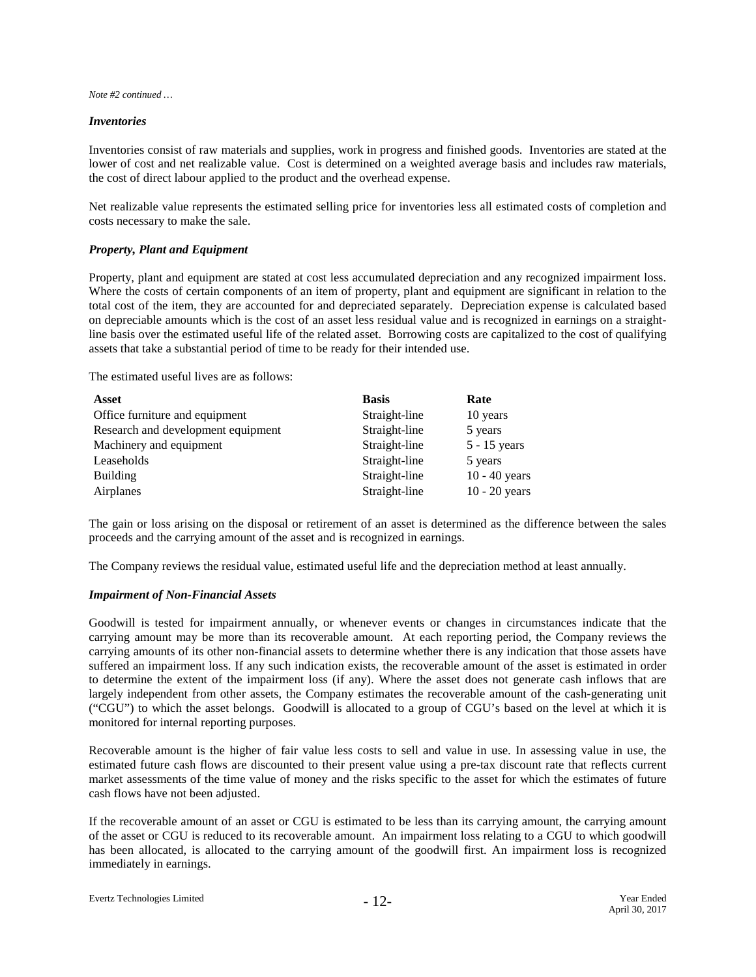#### *Inventories*

Inventories consist of raw materials and supplies, work in progress and finished goods. Inventories are stated at the lower of cost and net realizable value. Cost is determined on a weighted average basis and includes raw materials, the cost of direct labour applied to the product and the overhead expense.

Net realizable value represents the estimated selling price for inventories less all estimated costs of completion and costs necessary to make the sale.

#### *Property, Plant and Equipment*

Property, plant and equipment are stated at cost less accumulated depreciation and any recognized impairment loss. Where the costs of certain components of an item of property, plant and equipment are significant in relation to the total cost of the item, they are accounted for and depreciated separately. Depreciation expense is calculated based on depreciable amounts which is the cost of an asset less residual value and is recognized in earnings on a straightline basis over the estimated useful life of the related asset. Borrowing costs are capitalized to the cost of qualifying assets that take a substantial period of time to be ready for their intended use.

The estimated useful lives are as follows:

| Asset                              | <b>Basis</b>  | Rate            |
|------------------------------------|---------------|-----------------|
| Office furniture and equipment     | Straight-line | 10 years        |
| Research and development equipment | Straight-line | 5 years         |
| Machinery and equipment            | Straight-line | $5 - 15$ years  |
| Leaseholds                         | Straight-line | 5 years         |
| <b>Building</b>                    | Straight-line | $10 - 40$ years |
| Airplanes                          | Straight-line | $10 - 20$ years |

The gain or loss arising on the disposal or retirement of an asset is determined as the difference between the sales proceeds and the carrying amount of the asset and is recognized in earnings.

The Company reviews the residual value, estimated useful life and the depreciation method at least annually.

#### *Impairment of Non-Financial Assets*

Goodwill is tested for impairment annually, or whenever events or changes in circumstances indicate that the carrying amount may be more than its recoverable amount. At each reporting period, the Company reviews the carrying amounts of its other non-financial assets to determine whether there is any indication that those assets have suffered an impairment loss. If any such indication exists, the recoverable amount of the asset is estimated in order to determine the extent of the impairment loss (if any). Where the asset does not generate cash inflows that are largely independent from other assets, the Company estimates the recoverable amount of the cash-generating unit ("CGU") to which the asset belongs. Goodwill is allocated to a group of CGU's based on the level at which it is monitored for internal reporting purposes.

Recoverable amount is the higher of fair value less costs to sell and value in use. In assessing value in use, the estimated future cash flows are discounted to their present value using a pre-tax discount rate that reflects current market assessments of the time value of money and the risks specific to the asset for which the estimates of future cash flows have not been adjusted.

If the recoverable amount of an asset or CGU is estimated to be less than its carrying amount, the carrying amount of the asset or CGU is reduced to its recoverable amount. An impairment loss relating to a CGU to which goodwill has been allocated, is allocated to the carrying amount of the goodwill first. An impairment loss is recognized immediately in earnings.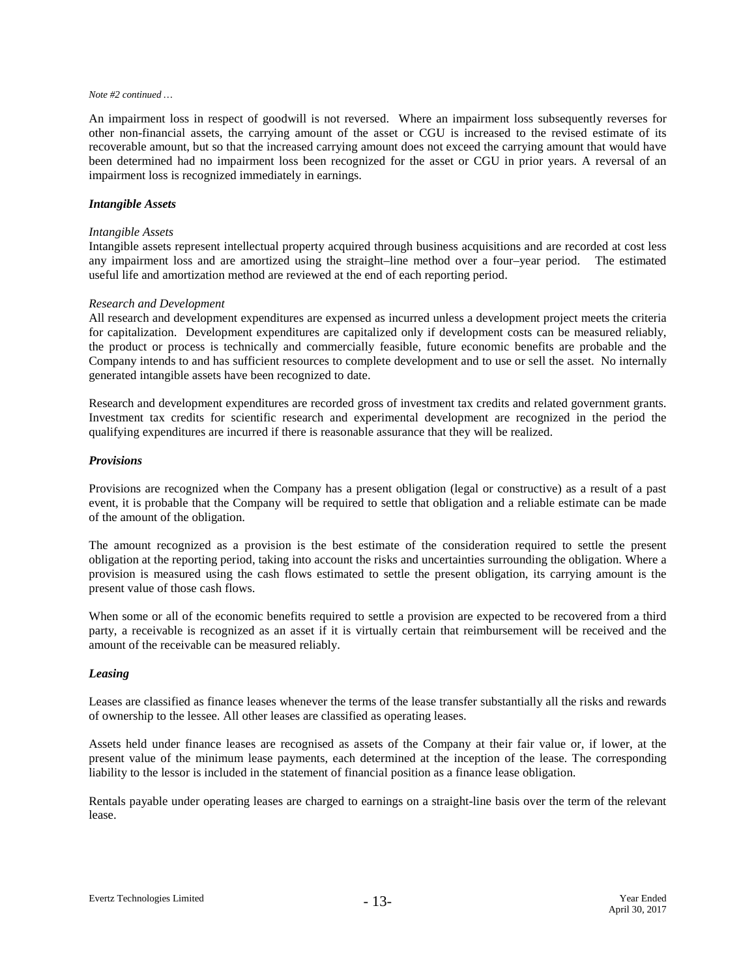An impairment loss in respect of goodwill is not reversed. Where an impairment loss subsequently reverses for other non-financial assets, the carrying amount of the asset or CGU is increased to the revised estimate of its recoverable amount, but so that the increased carrying amount does not exceed the carrying amount that would have been determined had no impairment loss been recognized for the asset or CGU in prior years. A reversal of an impairment loss is recognized immediately in earnings.

#### *Intangible Assets*

#### *Intangible Assets*

Intangible assets represent intellectual property acquired through business acquisitions and are recorded at cost less any impairment loss and are amortized using the straight–line method over a four–year period. The estimated useful life and amortization method are reviewed at the end of each reporting period.

#### *Research and Development*

All research and development expenditures are expensed as incurred unless a development project meets the criteria for capitalization. Development expenditures are capitalized only if development costs can be measured reliably, the product or process is technically and commercially feasible, future economic benefits are probable and the Company intends to and has sufficient resources to complete development and to use or sell the asset. No internally generated intangible assets have been recognized to date.

Research and development expenditures are recorded gross of investment tax credits and related government grants. Investment tax credits for scientific research and experimental development are recognized in the period the qualifying expenditures are incurred if there is reasonable assurance that they will be realized.

#### *Provisions*

Provisions are recognized when the Company has a present obligation (legal or constructive) as a result of a past event, it is probable that the Company will be required to settle that obligation and a reliable estimate can be made of the amount of the obligation.

The amount recognized as a provision is the best estimate of the consideration required to settle the present obligation at the reporting period, taking into account the risks and uncertainties surrounding the obligation. Where a provision is measured using the cash flows estimated to settle the present obligation, its carrying amount is the present value of those cash flows.

When some or all of the economic benefits required to settle a provision are expected to be recovered from a third party, a receivable is recognized as an asset if it is virtually certain that reimbursement will be received and the amount of the receivable can be measured reliably.

#### *Leasing*

Leases are classified as finance leases whenever the terms of the lease transfer substantially all the risks and rewards of ownership to the lessee. All other leases are classified as operating leases.

Assets held under finance leases are recognised as assets of the Company at their fair value or, if lower, at the present value of the minimum lease payments, each determined at the inception of the lease. The corresponding liability to the lessor is included in the statement of financial position as a finance lease obligation.

Rentals payable under operating leases are charged to earnings on a straight-line basis over the term of the relevant lease.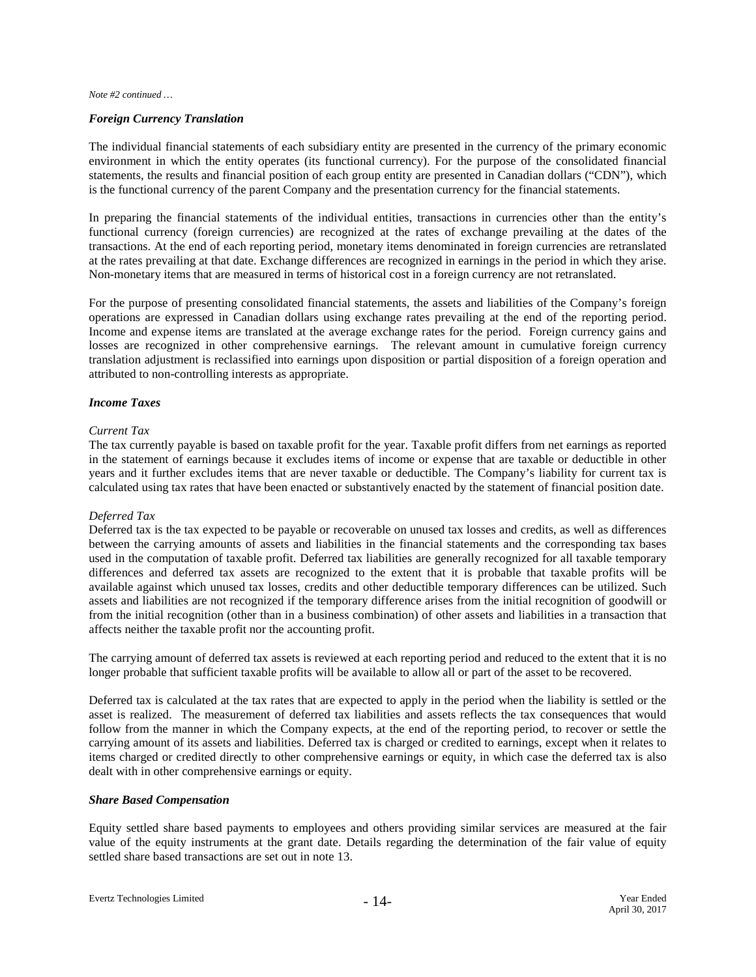#### *Foreign Currency Translation*

The individual financial statements of each subsidiary entity are presented in the currency of the primary economic environment in which the entity operates (its functional currency). For the purpose of the consolidated financial statements, the results and financial position of each group entity are presented in Canadian dollars ("CDN"), which is the functional currency of the parent Company and the presentation currency for the financial statements.

In preparing the financial statements of the individual entities, transactions in currencies other than the entity's functional currency (foreign currencies) are recognized at the rates of exchange prevailing at the dates of the transactions. At the end of each reporting period, monetary items denominated in foreign currencies are retranslated at the rates prevailing at that date. Exchange differences are recognized in earnings in the period in which they arise. Non-monetary items that are measured in terms of historical cost in a foreign currency are not retranslated.

For the purpose of presenting consolidated financial statements, the assets and liabilities of the Company's foreign operations are expressed in Canadian dollars using exchange rates prevailing at the end of the reporting period. Income and expense items are translated at the average exchange rates for the period. Foreign currency gains and losses are recognized in other comprehensive earnings. The relevant amount in cumulative foreign currency translation adjustment is reclassified into earnings upon disposition or partial disposition of a foreign operation and attributed to non-controlling interests as appropriate.

#### *Income Taxes*

#### *Current Tax*

The tax currently payable is based on taxable profit for the year. Taxable profit differs from net earnings as reported in the statement of earnings because it excludes items of income or expense that are taxable or deductible in other years and it further excludes items that are never taxable or deductible. The Company's liability for current tax is calculated using tax rates that have been enacted or substantively enacted by the statement of financial position date.

#### *Deferred Tax*

Deferred tax is the tax expected to be payable or recoverable on unused tax losses and credits, as well as differences between the carrying amounts of assets and liabilities in the financial statements and the corresponding tax bases used in the computation of taxable profit. Deferred tax liabilities are generally recognized for all taxable temporary differences and deferred tax assets are recognized to the extent that it is probable that taxable profits will be available against which unused tax losses, credits and other deductible temporary differences can be utilized. Such assets and liabilities are not recognized if the temporary difference arises from the initial recognition of goodwill or from the initial recognition (other than in a business combination) of other assets and liabilities in a transaction that affects neither the taxable profit nor the accounting profit.

The carrying amount of deferred tax assets is reviewed at each reporting period and reduced to the extent that it is no longer probable that sufficient taxable profits will be available to allow all or part of the asset to be recovered.

Deferred tax is calculated at the tax rates that are expected to apply in the period when the liability is settled or the asset is realized. The measurement of deferred tax liabilities and assets reflects the tax consequences that would follow from the manner in which the Company expects, at the end of the reporting period, to recover or settle the carrying amount of its assets and liabilities. Deferred tax is charged or credited to earnings, except when it relates to items charged or credited directly to other comprehensive earnings or equity, in which case the deferred tax is also dealt with in other comprehensive earnings or equity.

#### *Share Based Compensation*

Equity settled share based payments to employees and others providing similar services are measured at the fair value of the equity instruments at the grant date. Details regarding the determination of the fair value of equity settled share based transactions are set out in note 13.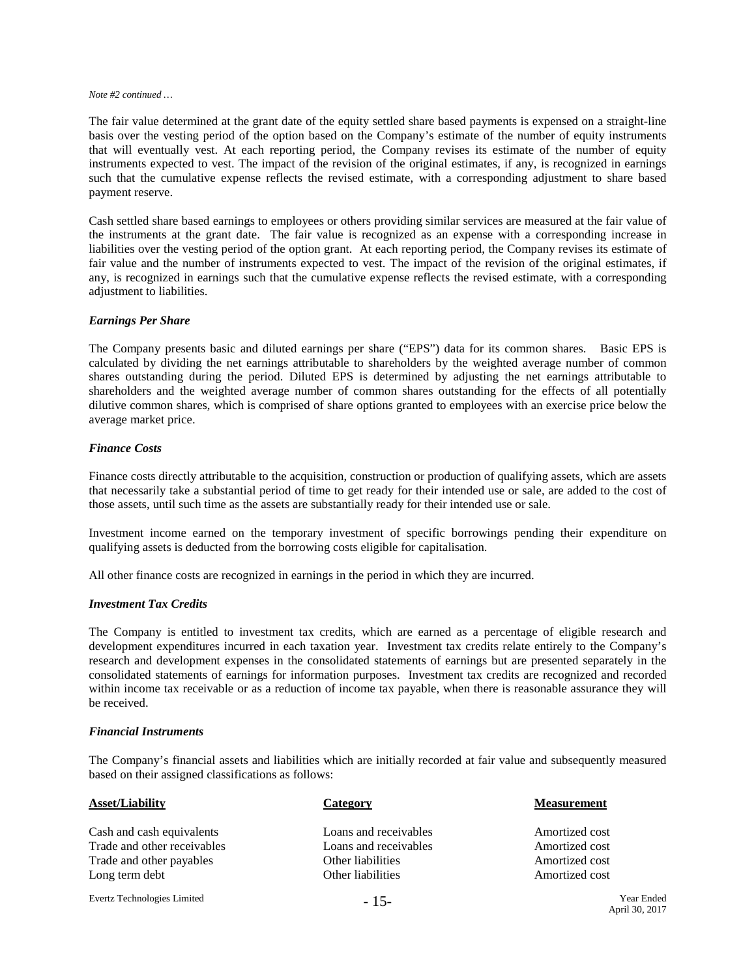The fair value determined at the grant date of the equity settled share based payments is expensed on a straight-line basis over the vesting period of the option based on the Company's estimate of the number of equity instruments that will eventually vest. At each reporting period, the Company revises its estimate of the number of equity instruments expected to vest. The impact of the revision of the original estimates, if any, is recognized in earnings such that the cumulative expense reflects the revised estimate, with a corresponding adjustment to share based payment reserve.

Cash settled share based earnings to employees or others providing similar services are measured at the fair value of the instruments at the grant date. The fair value is recognized as an expense with a corresponding increase in liabilities over the vesting period of the option grant. At each reporting period, the Company revises its estimate of fair value and the number of instruments expected to vest. The impact of the revision of the original estimates, if any, is recognized in earnings such that the cumulative expense reflects the revised estimate, with a corresponding adjustment to liabilities.

#### *Earnings Per Share*

The Company presents basic and diluted earnings per share ("EPS") data for its common shares. Basic EPS is calculated by dividing the net earnings attributable to shareholders by the weighted average number of common shares outstanding during the period. Diluted EPS is determined by adjusting the net earnings attributable to shareholders and the weighted average number of common shares outstanding for the effects of all potentially dilutive common shares, which is comprised of share options granted to employees with an exercise price below the average market price.

#### *Finance Costs*

Finance costs directly attributable to the acquisition, construction or production of qualifying assets, which are assets that necessarily take a substantial period of time to get ready for their intended use or sale, are added to the cost of those assets, until such time as the assets are substantially ready for their intended use or sale.

Investment income earned on the temporary investment of specific borrowings pending their expenditure on qualifying assets is deducted from the borrowing costs eligible for capitalisation.

All other finance costs are recognized in earnings in the period in which they are incurred.

#### *Investment Tax Credits*

The Company is entitled to investment tax credits, which are earned as a percentage of eligible research and development expenditures incurred in each taxation year. Investment tax credits relate entirely to the Company's research and development expenses in the consolidated statements of earnings but are presented separately in the consolidated statements of earnings for information purposes. Investment tax credits are recognized and recorded within income tax receivable or as a reduction of income tax payable, when there is reasonable assurance they will be received.

#### *Financial Instruments*

The Company's financial assets and liabilities which are initially recorded at fair value and subsequently measured based on their assigned classifications as follows:

| <b>Asset/Liability</b>      | Category              | <b>Measurement</b>           |
|-----------------------------|-----------------------|------------------------------|
| Cash and cash equivalents   | Loans and receivables | Amortized cost               |
| Trade and other receivables | Loans and receivables | Amortized cost               |
| Trade and other payables    | Other liabilities     | Amortized cost               |
| Long term debt              | Other liabilities     | Amortized cost               |
| Evertz Technologies Limited | $-15-$                | Year Ended<br>April 30, 2017 |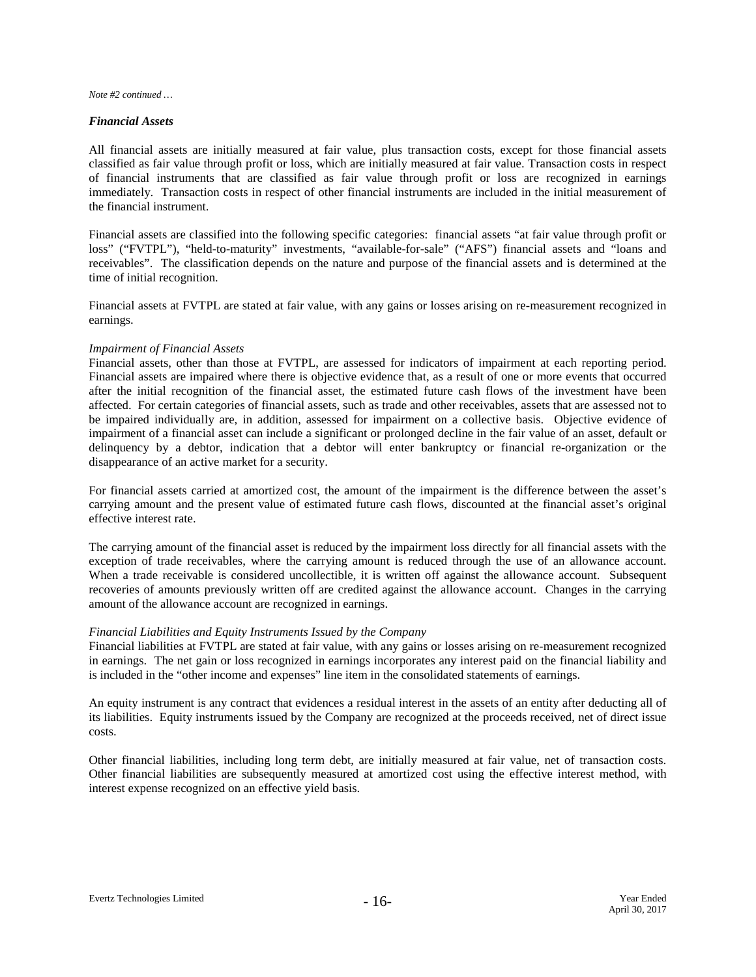#### *Financial Assets*

All financial assets are initially measured at fair value, plus transaction costs, except for those financial assets classified as fair value through profit or loss, which are initially measured at fair value. Transaction costs in respect of financial instruments that are classified as fair value through profit or loss are recognized in earnings immediately. Transaction costs in respect of other financial instruments are included in the initial measurement of the financial instrument.

Financial assets are classified into the following specific categories: financial assets "at fair value through profit or loss" ("FVTPL"), "held-to-maturity" investments, "available-for-sale" ("AFS") financial assets and "loans and receivables". The classification depends on the nature and purpose of the financial assets and is determined at the time of initial recognition.

Financial assets at FVTPL are stated at fair value, with any gains or losses arising on re-measurement recognized in earnings.

#### *Impairment of Financial Assets*

Financial assets, other than those at FVTPL, are assessed for indicators of impairment at each reporting period. Financial assets are impaired where there is objective evidence that, as a result of one or more events that occurred after the initial recognition of the financial asset, the estimated future cash flows of the investment have been affected. For certain categories of financial assets, such as trade and other receivables, assets that are assessed not to be impaired individually are, in addition, assessed for impairment on a collective basis. Objective evidence of impairment of a financial asset can include a significant or prolonged decline in the fair value of an asset, default or delinquency by a debtor, indication that a debtor will enter bankruptcy or financial re-organization or the disappearance of an active market for a security.

For financial assets carried at amortized cost, the amount of the impairment is the difference between the asset's carrying amount and the present value of estimated future cash flows, discounted at the financial asset's original effective interest rate.

The carrying amount of the financial asset is reduced by the impairment loss directly for all financial assets with the exception of trade receivables, where the carrying amount is reduced through the use of an allowance account. When a trade receivable is considered uncollectible, it is written off against the allowance account. Subsequent recoveries of amounts previously written off are credited against the allowance account. Changes in the carrying amount of the allowance account are recognized in earnings.

#### *Financial Liabilities and Equity Instruments Issued by the Company*

Financial liabilities at FVTPL are stated at fair value, with any gains or losses arising on re-measurement recognized in earnings. The net gain or loss recognized in earnings incorporates any interest paid on the financial liability and is included in the "other income and expenses" line item in the consolidated statements of earnings.

An equity instrument is any contract that evidences a residual interest in the assets of an entity after deducting all of its liabilities. Equity instruments issued by the Company are recognized at the proceeds received, net of direct issue costs.

Other financial liabilities, including long term debt, are initially measured at fair value, net of transaction costs. Other financial liabilities are subsequently measured at amortized cost using the effective interest method, with interest expense recognized on an effective yield basis.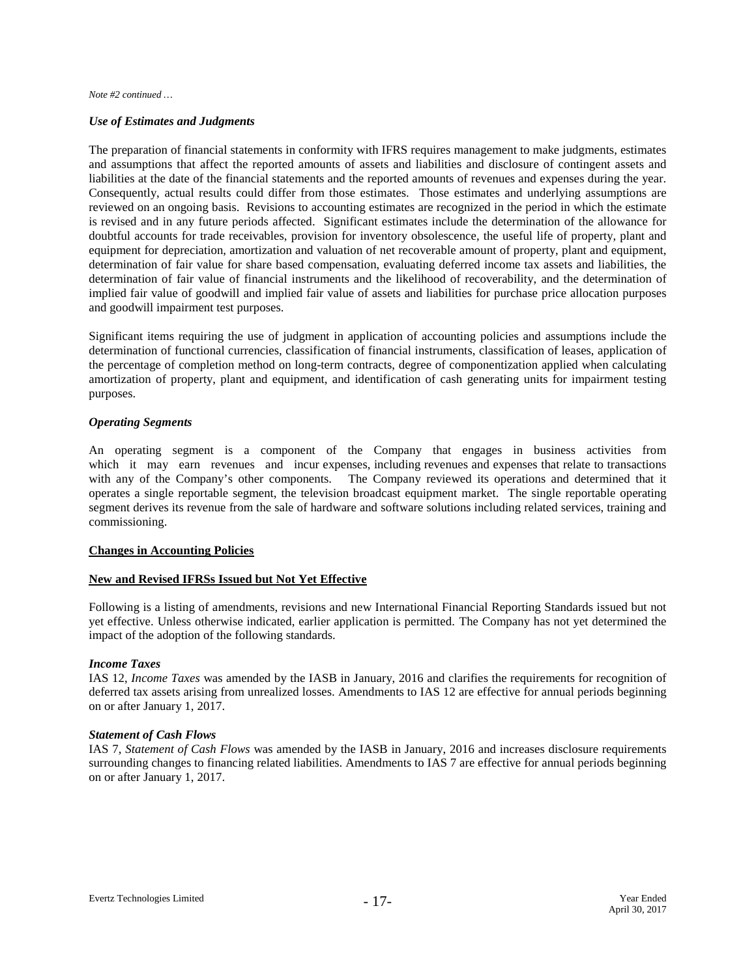#### *Use of Estimates and Judgments*

The preparation of financial statements in conformity with IFRS requires management to make judgments, estimates and assumptions that affect the reported amounts of assets and liabilities and disclosure of contingent assets and liabilities at the date of the financial statements and the reported amounts of revenues and expenses during the year. Consequently, actual results could differ from those estimates. Those estimates and underlying assumptions are reviewed on an ongoing basis. Revisions to accounting estimates are recognized in the period in which the estimate is revised and in any future periods affected. Significant estimates include the determination of the allowance for doubtful accounts for trade receivables, provision for inventory obsolescence, the useful life of property, plant and equipment for depreciation, amortization and valuation of net recoverable amount of property, plant and equipment, determination of fair value for share based compensation, evaluating deferred income tax assets and liabilities, the determination of fair value of financial instruments and the likelihood of recoverability, and the determination of implied fair value of goodwill and implied fair value of assets and liabilities for purchase price allocation purposes and goodwill impairment test purposes.

Significant items requiring the use of judgment in application of accounting policies and assumptions include the determination of functional currencies, classification of financial instruments, classification of leases, application of the percentage of completion method on long-term contracts, degree of componentization applied when calculating amortization of property, plant and equipment, and identification of cash generating units for impairment testing purposes.

#### *Operating Segments*

An operating segment is a component of the Company that engages in business activities from which it may earn revenues and incur expenses, including revenues and expenses that relate to transactions with any of the Company's other components. The Company reviewed its operations and determined that it operates a single reportable segment, the television broadcast equipment market. The single reportable operating segment derives its revenue from the sale of hardware and software solutions including related services, training and commissioning.

#### **Changes in Accounting Policies**

#### **New and Revised IFRSs Issued but Not Yet Effective**

Following is a listing of amendments, revisions and new International Financial Reporting Standards issued but not yet effective. Unless otherwise indicated, earlier application is permitted. The Company has not yet determined the impact of the adoption of the following standards.

#### *Income Taxes*

IAS 12, *Income Taxes* was amended by the IASB in January, 2016 and clarifies the requirements for recognition of deferred tax assets arising from unrealized losses. Amendments to IAS 12 are effective for annual periods beginning on or after January 1, 2017.

#### *Statement of Cash Flows*

IAS 7, *Statement of Cash Flows* was amended by the IASB in January, 2016 and increases disclosure requirements surrounding changes to financing related liabilities. Amendments to IAS 7 are effective for annual periods beginning on or after January 1, 2017.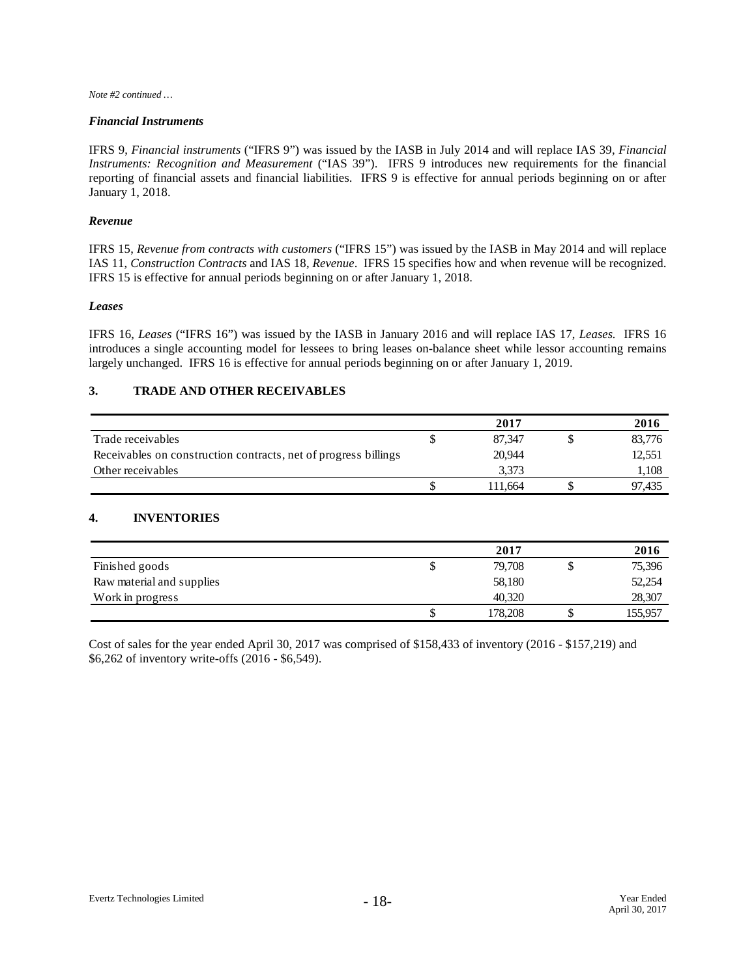#### *Financial Instruments*

IFRS 9, *Financial instruments* ("IFRS 9") was issued by the IASB in July 2014 and will replace IAS 39, *Financial Instruments: Recognition and Measurement* ("IAS 39"). IFRS 9 introduces new requirements for the financial reporting of financial assets and financial liabilities. IFRS 9 is effective for annual periods beginning on or after January 1, 2018.

#### *Revenue*

IFRS 15, *Revenue from contracts with customers* ("IFRS 15") was issued by the IASB in May 2014 and will replace IAS 11, *Construction Contracts* and IAS 18, *Revenue*. IFRS 15 specifies how and when revenue will be recognized. IFRS 15 is effective for annual periods beginning on or after January 1, 2018.

#### *Leases*

IFRS 16, *Leases* ("IFRS 16") was issued by the IASB in January 2016 and will replace IAS 17, *Leases.* IFRS 16 introduces a single accounting model for lessees to bring leases on-balance sheet while lessor accounting remains largely unchanged. IFRS 16 is effective for annual periods beginning on or after January 1, 2019.

#### **3. TRADE AND OTHER RECEIVABLES**

|                                                                 | 2017    | 2016   |
|-----------------------------------------------------------------|---------|--------|
| Trade receivables                                               | 87.347  | 83,776 |
| Receivables on construction contracts, net of progress billings | 20.944  | 12,551 |
| Other receivables                                               | 3.373   | 1,108  |
|                                                                 | 111.664 | 97.435 |

#### **4. INVENTORIES**

|                           |   | 2017    | 2016    |
|---------------------------|---|---------|---------|
| Finished goods            | D | 79.708  | 75,396  |
| Raw material and supplies |   | 58,180  | 52,254  |
| Work in progress          |   | 40.320  | 28,307  |
|                           |   | 178.208 | 155,957 |

Cost of sales for the year ended April 30, 2017 was comprised of \$158,433 of inventory (2016 - \$157,219) and \$6,262 of inventory write-offs (2016 - \$6,549).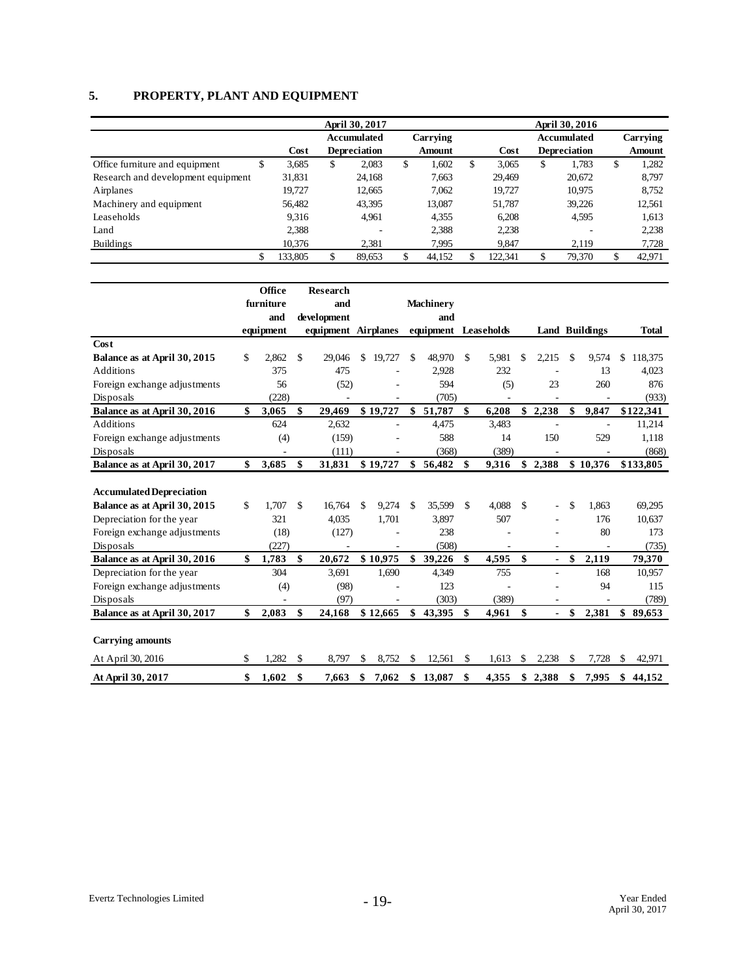#### **5. PROPERTY, PLANT AND EQUIPMENT**

|                                    |   |         |                         | April 30, 2017 |               |        |   | April 30, 2016     |    |                     |          |        |  |  |  |  |
|------------------------------------|---|---------|-------------------------|----------------|---------------|--------|---|--------------------|----|---------------------|----------|--------|--|--|--|--|
|                                    |   |         | Accumulated<br>Carrying |                |               |        |   | <b>Accumulated</b> |    |                     | Carrying |        |  |  |  |  |
|                                    |   | Cost    |                         | Depreciation   | <b>Amount</b> |        |   | Cost               |    | <b>Depreciation</b> |          | Amount |  |  |  |  |
| Office furniture and equipment     | C | 3,685   | \$                      | 2,083          | \$            | 1,602  | S | 3.065              | \$ | 1,783               | \$       | 1,282  |  |  |  |  |
| Research and development equipment |   | 31,831  |                         | 24,168         |               | 7.663  |   | 29.469             |    | 20,672              |          | 8,797  |  |  |  |  |
| Airplanes                          |   | 19.727  |                         | 12,665         |               | 7.062  |   | 19.727             |    | 10.975              |          | 8.752  |  |  |  |  |
| Machinery and equipment            |   | 56,482  |                         | 43,395         |               | 13,087 |   | 51,787             |    | 39,226              |          | 12,561 |  |  |  |  |
| Leaseholds                         |   | 9.316   |                         | 4,961          |               | 4,355  |   | 6.208              |    | 4.595               |          | 1,613  |  |  |  |  |
| Land                               |   | 2,388   |                         |                |               | 2,388  |   | 2,238              |    |                     |          | 2,238  |  |  |  |  |
| <b>Buildings</b>                   |   | 10,376  |                         | 2,381          |               | 7.995  |   | 9.847              |    | 2.119               |          | 7,728  |  |  |  |  |
|                                    | Φ | 133,805 |                         | 89,653         |               | 44,152 |   | 122,341            | \$ | 79,370              | \$.      | 42,971 |  |  |  |  |

|                                 | Office      |               | <b>Research</b>     |     |          |               |                  |    |                          |    |                          |    |          |                       |           |  |              |
|---------------------------------|-------------|---------------|---------------------|-----|----------|---------------|------------------|----|--------------------------|----|--------------------------|----|----------|-----------------------|-----------|--|--------------|
|                                 | furniture   |               | and                 |     |          |               | <b>Machinery</b> |    |                          |    |                          |    |          |                       |           |  |              |
|                                 | and         |               | development         |     |          |               | and              |    |                          |    |                          |    |          |                       |           |  |              |
|                                 | equipment   |               | equipment Airplanes |     |          |               |                  |    | equipment                |    | Leaseholds               |    |          | <b>Land Buildings</b> |           |  | <b>Total</b> |
| Cost                            |             |               |                     |     |          |               |                  |    |                          |    |                          |    |          |                       |           |  |              |
| Balance as at April 30, 2015    | \$<br>2.862 | \$            | 29,046              | \$  | 19,727   | \$            | 48,970           | \$ | 5.981                    | \$ | 2,215                    | S  | 9,574    | \$.                   | 118,375   |  |              |
| <b>Additions</b>                | 375         |               | 475                 |     |          |               | 2,928            |    | 232                      |    |                          |    | 13       |                       | 4,023     |  |              |
| Foreign exchange adjustments    | 56          |               | (52)                |     |          |               | 594              |    | (5)                      |    | 23                       |    | 260      |                       | 876       |  |              |
| Disposals                       | (228)       |               |                     |     |          |               | (705)            |    |                          |    |                          |    |          |                       | (933)     |  |              |
| Balance as at April 30, 2016    | \$<br>3,065 | \$            | 29,469              |     | \$19,727 | $\mathbf{s}$  | 51,787           | \$ | 6,208                    | \$ | 2,238                    | \$ | 9,847    |                       | \$122,341 |  |              |
| <b>Additions</b>                | 624         |               | 2,632               |     |          |               | 4,475            |    | 3,483                    |    | ÷                        |    | ÷,       |                       | 11,214    |  |              |
| Foreign exchange adjustments    | (4)         |               | (159)               |     |          |               | 588              |    | 14                       |    | 150                      |    | 529      |                       | 1,118     |  |              |
| Disposals                       |             |               | (111)               |     |          |               | (368)            |    | (389)                    |    |                          |    |          |                       | (868)     |  |              |
| Balance as at April 30, 2017    | \$<br>3,685 | \$            | 31,831              |     | \$19,727 | \$            | 56,482           | \$ | 9,316                    |    | \$2,388                  |    | \$10,376 |                       | \$133,805 |  |              |
|                                 |             |               |                     |     |          |               |                  |    |                          |    |                          |    |          |                       |           |  |              |
| <b>Accumulated Depreciation</b> |             |               |                     |     |          |               |                  |    |                          |    |                          |    |          |                       |           |  |              |
| Balance as at April 30, 2015    | \$<br>1,707 | $\mathcal{S}$ | 16,764              | \$. | 9,274    | <sup>\$</sup> | 35,599           | £. | 4,088                    | \$ |                          | \$ | 1,863    |                       | 69,295    |  |              |
| Depreciation for the year       | 321         |               | 4.035               |     | 1,701    |               | 3,897            |    | 507                      |    |                          |    | 176      |                       | 10,637    |  |              |
| Foreign exchange adjustments    | (18)        |               | (127)               |     |          |               | 238              |    |                          |    |                          |    | 80       |                       | 173       |  |              |
| Disposals                       | (227)       |               | $\sim$              |     | ÷,       |               | (508)            |    | $\overline{\phantom{a}}$ |    | $\overline{\phantom{a}}$ |    | $\sim$   |                       | (735)     |  |              |
| Balance as at April 30, 2016    | \$<br>1,783 | \$            | 20,672              |     | \$10,975 | \$            | 39,226           | \$ | 4,595                    | \$ | $\blacksquare$           | \$ | 2,119    |                       | 79,370    |  |              |
| Depreciation for the year       | 304         |               | 3.691               |     | 1,690    |               | 4,349            |    | 755                      |    | $\overline{\phantom{m}}$ |    | 168      |                       | 10,957    |  |              |
| Foreign exchange adjustments    | (4)         |               | (98)                |     |          |               | 123              |    |                          |    |                          |    | 94       |                       | 115       |  |              |
| Disposals                       | ÷,          |               | (97)                |     |          |               | (303)            |    | (389)                    |    | $\overline{\phantom{a}}$ |    |          |                       | (789)     |  |              |
| Balance as at April 30, 2017    | \$<br>2,083 | \$            | 24,168              |     | \$12,665 | \$            | 43,395           | \$ | 4,961                    | \$ | $\blacksquare$           | \$ | 2,381    | \$                    | 89,653    |  |              |
|                                 |             |               |                     |     |          |               |                  |    |                          |    |                          |    |          |                       |           |  |              |
| <b>Carrying amounts</b>         |             |               |                     |     |          |               |                  |    |                          |    |                          |    |          |                       |           |  |              |
| At April 30, 2016               | \$<br>1,282 | \$            | 8,797               | \$  | 8,752    | \$            | 12,561           | \$ | 1,613                    | \$ | 2,238                    | \$ | 7,728    | \$                    | 42,971    |  |              |
| At April 30, 2017               | \$<br>1,602 | \$            | 7.663               | \$  | 7,062    | \$            | 13,087           | \$ | 4,355                    | \$ | 2,388                    | \$ | 7,995    | \$                    | 44,152    |  |              |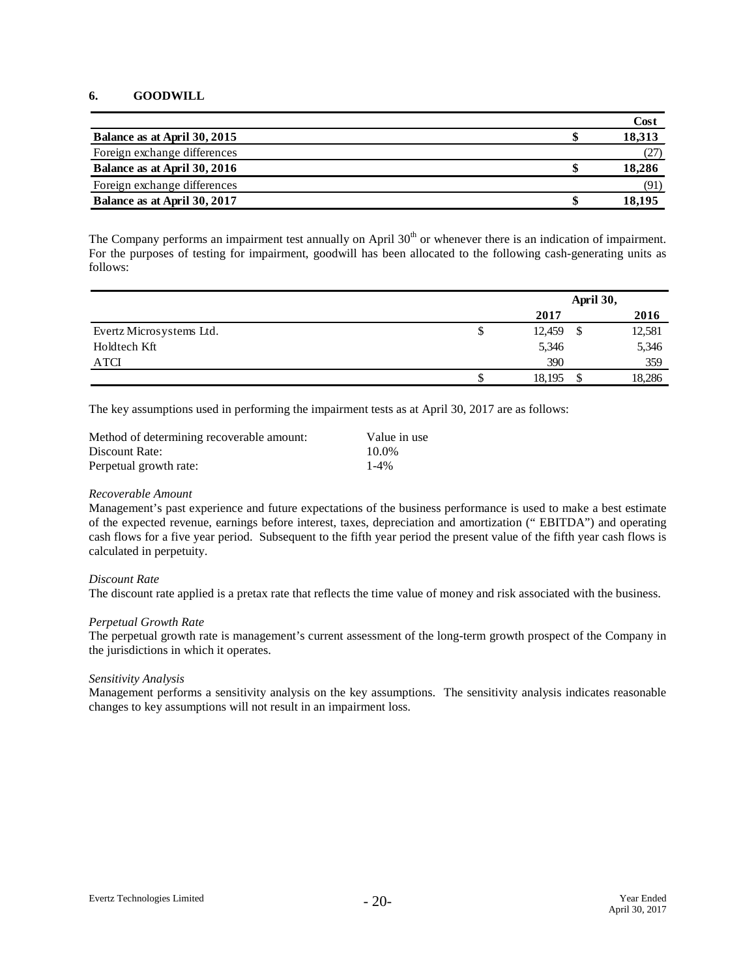#### **6. GOODWILL**

|                              | $\cos$ |
|------------------------------|--------|
| Balance as at April 30, 2015 | 18.313 |
| Foreign exchange differences | (27    |
| Balance as at April 30, 2016 | 18.286 |
| Foreign exchange differences | (91    |
| Balance as at April 30, 2017 | 18.195 |

The Company performs an impairment test annually on April 30<sup>th</sup> or whenever there is an indication of impairment. For the purposes of testing for impairment, goodwill has been allocated to the following cash-generating units as follows:

|                          |    | April 30, |   |        |
|--------------------------|----|-----------|---|--------|
|                          |    | 2017      |   | 2016   |
| Evertz Microsystems Ltd. | S  | 12,459    | S | 12,581 |
| Holdtech Kft             |    | 5,346     |   | 5,346  |
| <b>ATCI</b>              |    | 390       |   | 359    |
|                          | \$ | 18,195    |   | 18,286 |

The key assumptions used in performing the impairment tests as at April 30, 2017 are as follows:

| Method of determining recoverable amount: | Value in use |
|-------------------------------------------|--------------|
| Discount Rate:                            | 10.0%        |
| Perpetual growth rate:                    | $1 - 4\%$    |

#### *Recoverable Amount*

Management's past experience and future expectations of the business performance is used to make a best estimate of the expected revenue, earnings before interest, taxes, depreciation and amortization (" EBITDA") and operating cash flows for a five year period. Subsequent to the fifth year period the present value of the fifth year cash flows is calculated in perpetuity.

#### *Discount Rate*

The discount rate applied is a pretax rate that reflects the time value of money and risk associated with the business.

#### *Perpetual Growth Rate*

The perpetual growth rate is management's current assessment of the long-term growth prospect of the Company in the jurisdictions in which it operates.

#### *Sensitivity Analysis*

Management performs a sensitivity analysis on the key assumptions. The sensitivity analysis indicates reasonable changes to key assumptions will not result in an impairment loss.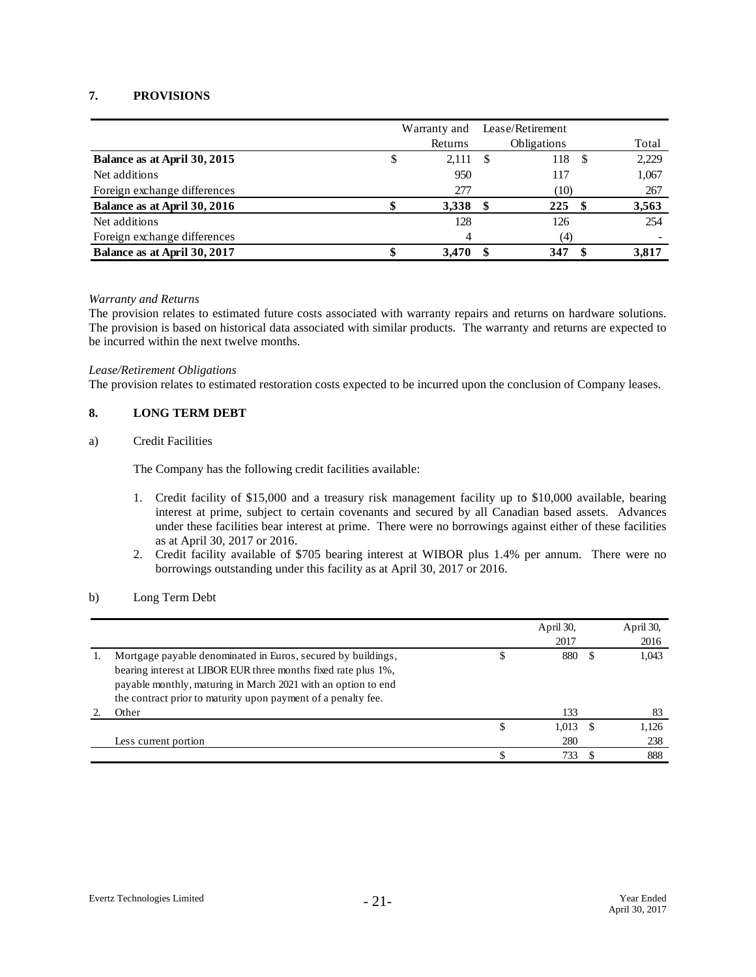#### **7. PROVISIONS**

|                              | Warranty and | Lease/Retirement   |       |
|------------------------------|--------------|--------------------|-------|
|                              | Returns      | <b>Obligations</b> | Total |
| Balance as at April 30, 2015 | 2.111        | 118<br>-8          | 2,229 |
| Net additions                | 950          | 117                | 1,067 |
| Foreign exchange differences | 277          | (10)               | 267   |
| Balance as at April 30, 2016 | 3,338        | 225                | 3,563 |
| Net additions                | 128          | 126                | 254   |
| Foreign exchange differences | 4            | (4)                |       |
| Balance as at April 30, 2017 | 3.470        | 347                | 3.817 |

#### *Warranty and Returns*

The provision relates to estimated future costs associated with warranty repairs and returns on hardware solutions. The provision is based on historical data associated with similar products. The warranty and returns are expected to be incurred within the next twelve months.

#### *Lease/Retirement Obligations*

The provision relates to estimated restoration costs expected to be incurred upon the conclusion of Company leases.

#### **8. LONG TERM DEBT**

#### a) Credit Facilities

The Company has the following credit facilities available:

- 1. Credit facility of \$15,000 and a treasury risk management facility up to \$10,000 available, bearing interest at prime, subject to certain covenants and secured by all Canadian based assets. Advances under these facilities bear interest at prime. There were no borrowings against either of these facilities as at April 30, 2017 or 2016.
- 2. Credit facility available of \$705 bearing interest at WIBOR plus 1.4% per annum. There were no borrowings outstanding under this facility as at April 30, 2017 or 2016.

#### b) Long Term Debt

|                                                                | April 30, |    | April 30, |
|----------------------------------------------------------------|-----------|----|-----------|
|                                                                | 2017      |    | 2016      |
| Mortgage payable denominated in Euros, secured by buildings,   | 880       | -S | 1,043     |
| bearing interest at LIBOR EUR three months fixed rate plus 1%. |           |    |           |
| payable monthly, maturing in March 2021 with an option to end  |           |    |           |
| the contract prior to maturity upon payment of a penalty fee.  |           |    |           |
| Other                                                          | 133       |    | 83        |
|                                                                | 1.013     |    | 1,126     |
| Less current portion                                           | 280       |    | 238       |
|                                                                | 733       |    | 888       |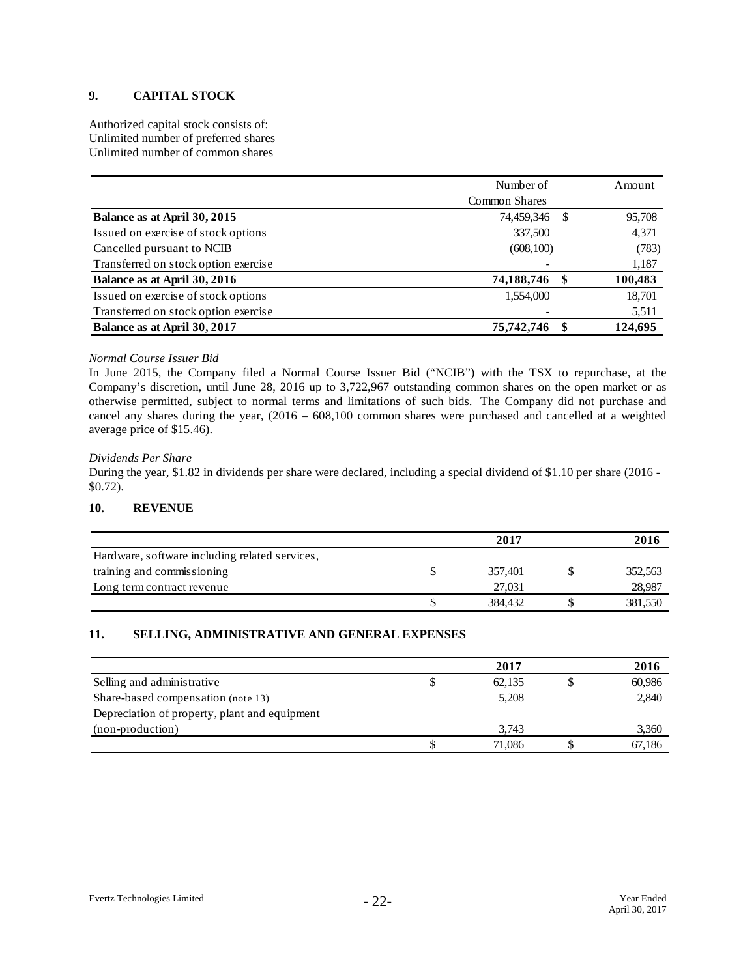#### **9. CAPITAL STOCK**

Authorized capital stock consists of: Unlimited number of preferred shares Unlimited number of common shares

|                                      | Number of     |      | Amount  |
|--------------------------------------|---------------|------|---------|
|                                      | Common Shares |      |         |
| Balance as at April 30, 2015         | 74,459,346    | - \$ | 95,708  |
| Issued on exercise of stock options  | 337,500       |      | 4,371   |
| Cancelled pursuant to NCIB           | (608, 100)    |      | (783)   |
| Transferred on stock option exercise |               |      | 1,187   |
| Balance as at April 30, 2016         | 74,188,746    |      | 100,483 |
| Issued on exercise of stock options  | 1,554,000     |      | 18,701  |
| Transferred on stock option exercise |               |      | 5,511   |
| Balance as at April 30, 2017         | 75,742,746    |      | 124,695 |

#### *Normal Course Issuer Bid*

In June 2015, the Company filed a Normal Course Issuer Bid ("NCIB") with the TSX to repurchase, at the Company's discretion, until June 28, 2016 up to 3,722,967 outstanding common shares on the open market or as otherwise permitted, subject to normal terms and limitations of such bids. The Company did not purchase and cancel any shares during the year, (2016 – 608,100 common shares were purchased and cancelled at a weighted average price of \$15.46).

#### *Dividends Per Share*

During the year, \$1.82 in dividends per share were declared, including a special dividend of \$1.10 per share (2016 - \$0.72).

#### **10. REVENUE**

|                                                | 2017    | 2016    |
|------------------------------------------------|---------|---------|
| Hardware, software including related services, |         |         |
| training and commissioning                     | 357.401 | 352,563 |
| Long term contract revenue                     | 27.031  | 28,987  |
|                                                | 384.432 | 381,550 |

#### **11. SELLING, ADMINISTRATIVE AND GENERAL EXPENSES**

|                                               |    | 2017   | 2016   |
|-----------------------------------------------|----|--------|--------|
| Selling and administrative                    | \$ | 62.135 | 60.986 |
| Share-based compensation (note 13)            |    | 5,208  | 2,840  |
| Depreciation of property, plant and equipment |    |        |        |
| (non-production)                              |    | 3.743  | 3,360  |
|                                               | S  | 71.086 | 67.186 |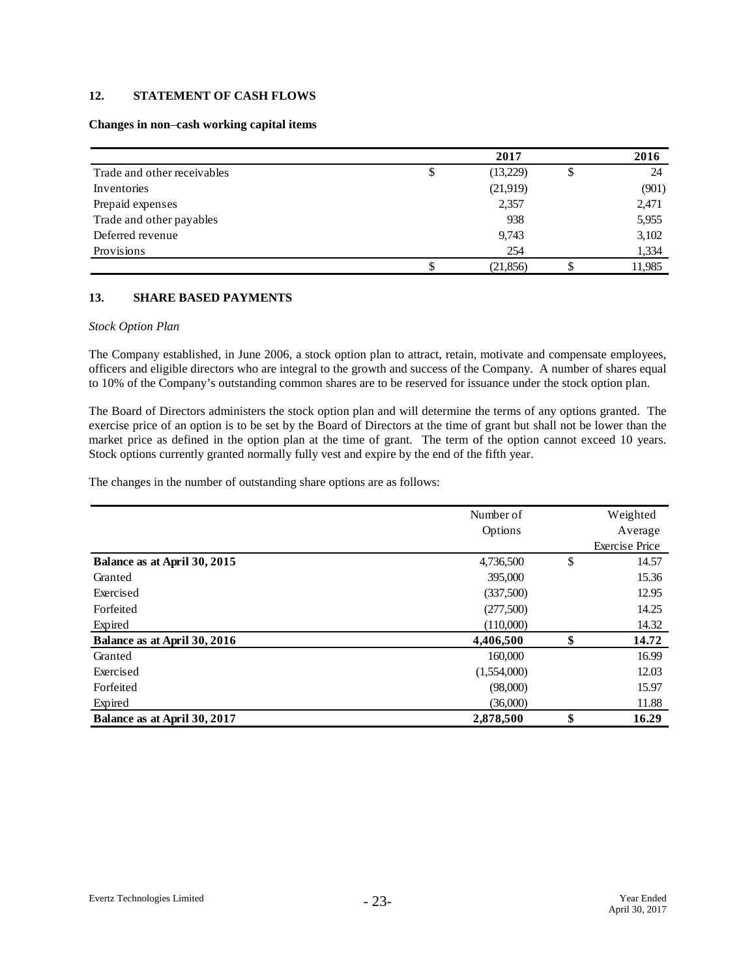#### **12. STATEMENT OF CASH FLOWS**

**Changes in non**–**cash working capital items**

|                             |     | 2017      |   | 2016   |
|-----------------------------|-----|-----------|---|--------|
| Trade and other receivables | \$. | (13,229)  | Φ | 24     |
| Inventories                 |     | (21,919)  |   | (901)  |
| Prepaid expenses            |     | 2,357     |   | 2,471  |
| Trade and other payables    |     | 938       |   | 5,955  |
| Deferred revenue            |     | 9,743     |   | 3,102  |
| Provisions                  |     | 254       |   | 1,334  |
|                             |     | (21, 856) |   | 11,985 |

#### **13. SHARE BASED PAYMENTS**

#### *Stock Option Plan*

The Company established, in June 2006, a stock option plan to attract, retain, motivate and compensate employees, officers and eligible directors who are integral to the growth and success of the Company. A number of shares equal to 10% of the Company's outstanding common shares are to be reserved for issuance under the stock option plan.

The Board of Directors administers the stock option plan and will determine the terms of any options granted. The exercise price of an option is to be set by the Board of Directors at the time of grant but shall not be lower than the market price as defined in the option plan at the time of grant. The term of the option cannot exceed 10 years. Stock options currently granted normally fully vest and expire by the end of the fifth year.

The changes in the number of outstanding share options are as follows:

|                              | Number of   | Weighted              |
|------------------------------|-------------|-----------------------|
|                              | Options     | Average               |
|                              |             | <b>Exercise Price</b> |
| Balance as at April 30, 2015 | 4,736,500   | \$<br>14.57           |
| Granted                      | 395,000     | 15.36                 |
| Exercised                    | (337,500)   | 12.95                 |
| Forfeited                    | (277,500)   | 14.25                 |
| Expired                      | (110,000)   | 14.32                 |
| Balance as at April 30, 2016 | 4,406,500   | \$<br>14.72           |
| Granted                      | 160,000     | 16.99                 |
| Exercised                    | (1,554,000) | 12.03                 |
| Forfeited                    | (98,000)    | 15.97                 |
| Expired                      | (36,000)    | 11.88                 |
| Balance as at April 30, 2017 | 2,878,500   | \$<br>16.29           |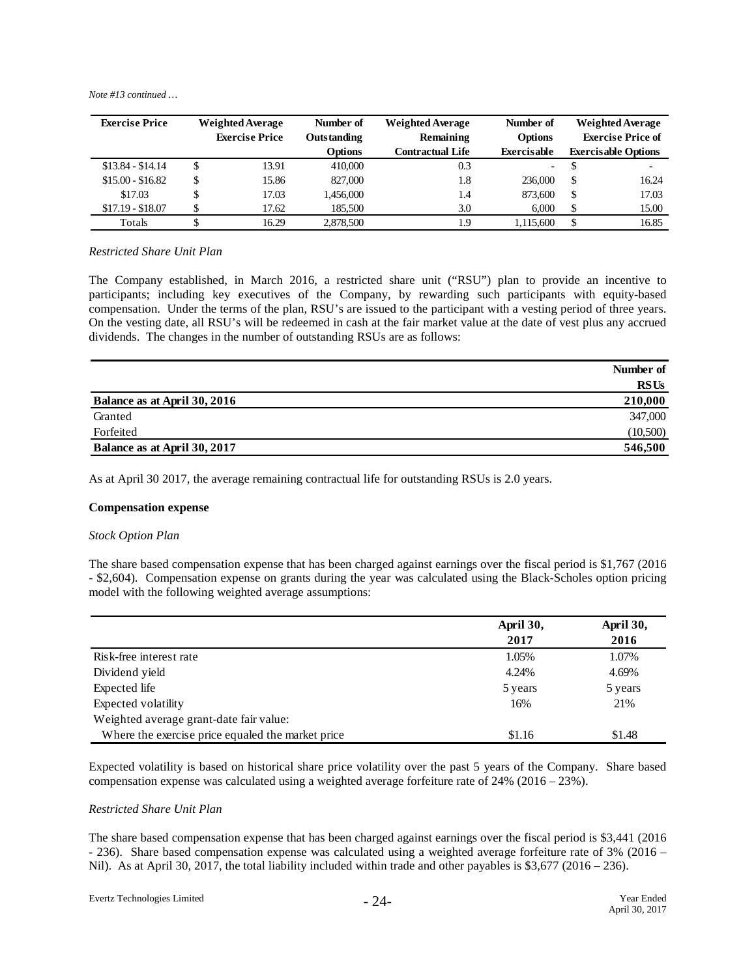| <b>Exercise Price</b> | <b>Weighted Average</b> | Number of      | <b>Weighted Average</b> | Number of      |    | <b>Weighted Average</b>    |
|-----------------------|-------------------------|----------------|-------------------------|----------------|----|----------------------------|
|                       | <b>Exercise Price</b>   | Outstanding    | Remaining               | <b>Options</b> |    | <b>Exercise Price of</b>   |
|                       |                         | <b>Options</b> | <b>Contractual Life</b> | Exercisable    |    | <b>Exercisable Options</b> |
| $$13.84 - $14.14$     | \$<br>13.91             | 410,000        | 0.3                     | Ξ.             | S  | -                          |
| $$15.00 - $16.82$     | \$<br>15.86             | 827,000        | 1.8                     | 236,000        | £. | 16.24                      |
| \$17.03               | \$<br>17.03             | 1,456,000      | 1.4                     | 873,600        | \$ | 17.03                      |
| $$17.19 - $18.07$     | 17.62                   | 185,500        | 3.0                     | 6,000          |    | 15.00                      |
| Totals                | 16.29                   | 2,878,500      | 1.9                     | 1.115.600      | -S | 16.85                      |

#### *Restricted Share Unit Plan*

The Company established, in March 2016, a restricted share unit ("RSU") plan to provide an incentive to participants; including key executives of the Company, by rewarding such participants with equity-based compensation. Under the terms of the plan, RSU's are issued to the participant with a vesting period of three years. On the vesting date, all RSU's will be redeemed in cash at the fair market value at the date of vest plus any accrued dividends. The changes in the number of outstanding RSUs are as follows:

|                              | Number of   |
|------------------------------|-------------|
|                              | <b>RSUs</b> |
| Balance as at April 30, 2016 | 210,000     |
| Granted                      | 347,000     |
| Forfeited                    | (10,500)    |
| Balance as at April 30, 2017 | 546,500     |

As at April 30 2017, the average remaining contractual life for outstanding RSUs is 2.0 years.

#### **Compensation expense**

#### *Stock Option Plan*

The share based compensation expense that has been charged against earnings over the fiscal period is \$1,767 (2016 - \$2,604). Compensation expense on grants during the year was calculated using the Black-Scholes option pricing model with the following weighted average assumptions:

|                                                   | April 30, | April 30, |
|---------------------------------------------------|-----------|-----------|
|                                                   | 2017      | 2016      |
| Risk-free interest rate                           | 1.05%     | 1.07%     |
| Dividend yield                                    | 4.24%     | 4.69%     |
| Expected life                                     | 5 years   | 5 years   |
| Expected volatility                               | 16%       | 21%       |
| Weighted average grant-date fair value:           |           |           |
| Where the exercise price equaled the market price | \$1.16    | \$1.48    |

Expected volatility is based on historical share price volatility over the past 5 years of the Company. Share based compensation expense was calculated using a weighted average forfeiture rate of 24% (2016 – 23%).

#### *Restricted Share Unit Plan*

The share based compensation expense that has been charged against earnings over the fiscal period is \$3,441 (2016 - 236). Share based compensation expense was calculated using a weighted average forfeiture rate of 3% (2016 – Nil). As at April 30, 2017, the total liability included within trade and other payables is \$3,677 (2016 – 236).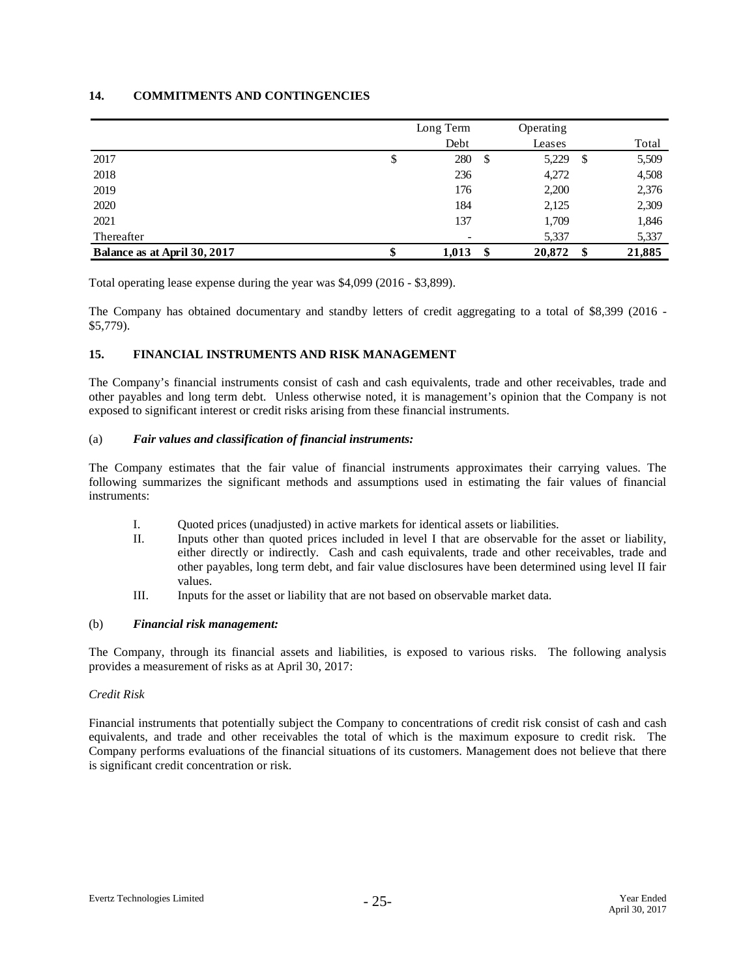#### **14. COMMITMENTS AND CONTINGENCIES**

|                              |   | Long Term | Operating    |              |
|------------------------------|---|-----------|--------------|--------------|
|                              |   | Debt      | Leases       | Total        |
| 2017                         | Φ | 280       | \$<br>5,229  | \$<br>5,509  |
| 2018                         |   | 236       | 4,272        | 4,508        |
| 2019                         |   | 176       | 2,200        | 2,376        |
| 2020                         |   | 184       | 2,125        | 2,309        |
| 2021                         |   | 137       | 1,709        | 1,846        |
| Thereafter                   |   | -         | 5,337        | 5,337        |
| Balance as at April 30, 2017 |   | 1,013     | \$<br>20,872 | \$<br>21,885 |

Total operating lease expense during the year was \$4,099 (2016 - \$3,899).

The Company has obtained documentary and standby letters of credit aggregating to a total of \$8,399 (2016 - \$5,779).

#### **15. FINANCIAL INSTRUMENTS AND RISK MANAGEMENT**

The Company's financial instruments consist of cash and cash equivalents, trade and other receivables, trade and other payables and long term debt. Unless otherwise noted, it is management's opinion that the Company is not exposed to significant interest or credit risks arising from these financial instruments.

#### (a) *Fair values and classification of financial instruments:*

The Company estimates that the fair value of financial instruments approximates their carrying values. The following summarizes the significant methods and assumptions used in estimating the fair values of financial instruments:

- I. Quoted prices (unadjusted) in active markets for identical assets or liabilities.
- Inputs other than quoted prices included in level I that are observable for the asset or liability, either directly or indirectly. Cash and cash equivalents, trade and other receivables, trade and other payables, long term debt, and fair value disclosures have been determined using level II fair values.
- III. Inputs for the asset or liability that are not based on observable market data.

#### (b) *Financial risk management:*

The Company, through its financial assets and liabilities, is exposed to various risks. The following analysis provides a measurement of risks as at April 30, 2017:

#### *Credit Risk*

Financial instruments that potentially subject the Company to concentrations of credit risk consist of cash and cash equivalents, and trade and other receivables the total of which is the maximum exposure to credit risk. The Company performs evaluations of the financial situations of its customers. Management does not believe that there is significant credit concentration or risk.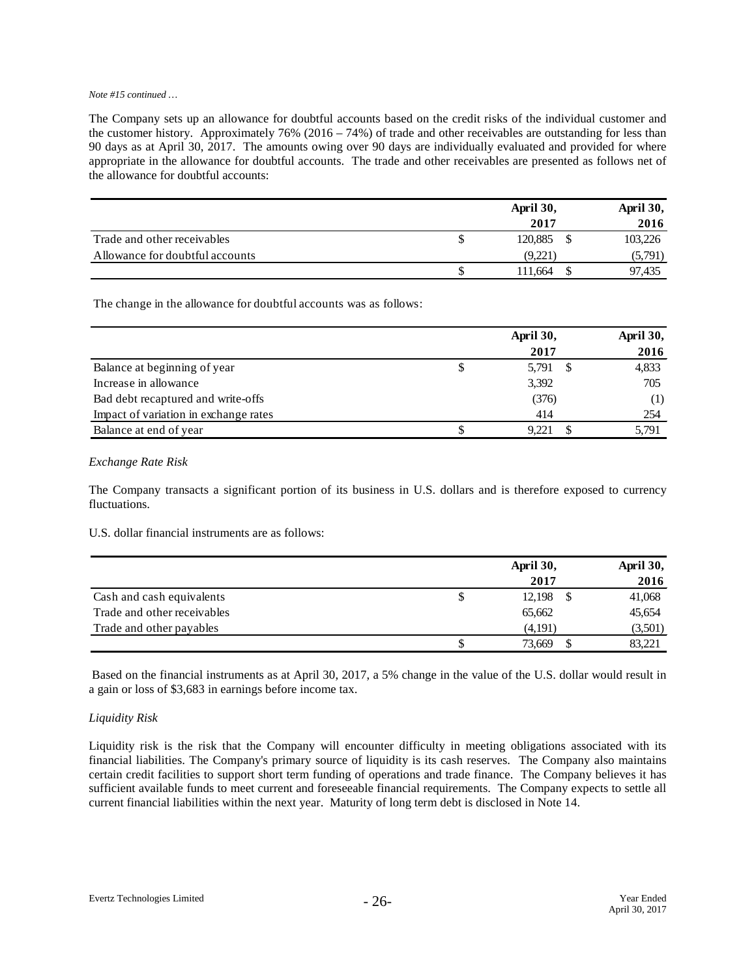The Company sets up an allowance for doubtful accounts based on the credit risks of the individual customer and the customer history. Approximately  $76\%$  (2016 – 74%) of trade and other receivables are outstanding for less than 90 days as at April 30, 2017. The amounts owing over 90 days are individually evaluated and provided for where appropriate in the allowance for doubtful accounts. The trade and other receivables are presented as follows net of the allowance for doubtful accounts:

|                                 |   | April 30,     | April 30, |  |
|---------------------------------|---|---------------|-----------|--|
|                                 |   | 2017          | 2016      |  |
| Trade and other receivables     | J | 120,885       | 103,226   |  |
| Allowance for doubtful accounts |   | (9.221)       | (5,791)   |  |
|                                 |   | 111.664<br>۰D | 97.435    |  |

The change in the allowance for doubtful accounts was as follows:

|                                       | April 30,   | April 30, |
|---------------------------------------|-------------|-----------|
|                                       | 2017        | 2016      |
| Balance at beginning of year          | \$<br>5,791 | 4,833     |
| Increase in allowance                 | 3,392       | 705       |
| Bad debt recaptured and write-offs    | (376)       | (1)       |
| Impact of variation in exchange rates | 414         | 254       |
| Balance at end of year                | 9.221       | 5.791     |

#### *Exchange Rate Risk*

The Company transacts a significant portion of its business in U.S. dollars and is therefore exposed to currency fluctuations.

U.S. dollar financial instruments are as follows:

|                             | April 30, | April 30, |
|-----------------------------|-----------|-----------|
|                             | 2017      | 2016      |
| Cash and cash equivalents   | 12,198    | 41,068    |
| Trade and other receivables | 65,662    | 45,654    |
| Trade and other payables    | (4,191)   | (3,501)   |
|                             | 73,669    | 83.221    |

Based on the financial instruments as at April 30, 2017, a 5% change in the value of the U.S. dollar would result in a gain or loss of \$3,683 in earnings before income tax.

#### *Liquidity Risk*

Liquidity risk is the risk that the Company will encounter difficulty in meeting obligations associated with its financial liabilities. The Company's primary source of liquidity is its cash reserves. The Company also maintains certain credit facilities to support short term funding of operations and trade finance. The Company believes it has sufficient available funds to meet current and foreseeable financial requirements. The Company expects to settle all current financial liabilities within the next year. Maturity of long term debt is disclosed in Note 14.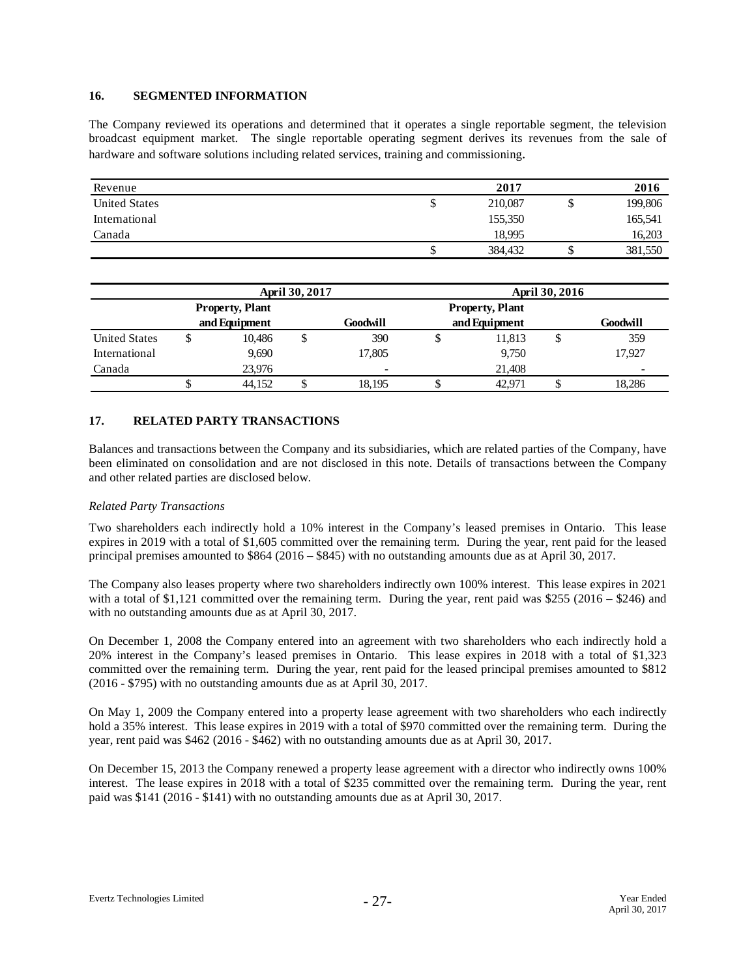#### **16. SEGMENTED INFORMATION**

The Company reviewed its operations and determined that it operates a single reportable segment, the television broadcast equipment market. The single reportable operating segment derives its revenues from the sale of hardware and software solutions including related services, training and commissioning.

| Revenue              |        | 2017    |    | 2016    |
|----------------------|--------|---------|----|---------|
| <b>United States</b> | œ<br>Φ | 210,087 | J  | 199,806 |
| International        |        | 155,350 |    | 165,541 |
| Canada               |        | 18,995  |    | 16,203  |
|                      | \$     | 384.432 | ъĐ | 381,550 |

|                      | April 30, 2017 |                        |   |          | April 30, 2016         |   |                          |
|----------------------|----------------|------------------------|---|----------|------------------------|---|--------------------------|
|                      |                | <b>Property, Plant</b> |   |          | <b>Property, Plant</b> |   |                          |
|                      |                | and Equipment          |   | Goodwill | and Equipment          |   | Goodwill                 |
| <b>United States</b> |                | 10,486                 | ◡ | 390      | 11,813                 | Φ | 359                      |
| International        |                | 9,690                  |   | 17.805   | 9,750                  |   | 17.927                   |
| Canada               |                | 23,976                 |   | -        | 21.408                 |   | $\overline{\phantom{0}}$ |
|                      |                | 44.152                 |   | 18.195   | 42.971                 |   | 18.286                   |

#### **17. RELATED PARTY TRANSACTIONS**

Balances and transactions between the Company and its subsidiaries, which are related parties of the Company, have been eliminated on consolidation and are not disclosed in this note. Details of transactions between the Company and other related parties are disclosed below.

#### *Related Party Transactions*

Two shareholders each indirectly hold a 10% interest in the Company's leased premises in Ontario. This lease expires in 2019 with a total of \$1,605 committed over the remaining term. During the year, rent paid for the leased principal premises amounted to \$864 (2016 – \$845) with no outstanding amounts due as at April 30, 2017.

The Company also leases property where two shareholders indirectly own 100% interest. This lease expires in 2021 with a total of \$1,121 committed over the remaining term. During the year, rent paid was \$255 (2016 – \$246) and with no outstanding amounts due as at April 30, 2017.

On December 1, 2008 the Company entered into an agreement with two shareholders who each indirectly hold a 20% interest in the Company's leased premises in Ontario. This lease expires in 2018 with a total of \$1,323 committed over the remaining term. During the year, rent paid for the leased principal premises amounted to \$812 (2016 - \$795) with no outstanding amounts due as at April 30, 2017.

On May 1, 2009 the Company entered into a property lease agreement with two shareholders who each indirectly hold a 35% interest. This lease expires in 2019 with a total of \$970 committed over the remaining term. During the year, rent paid was \$462 (2016 - \$462) with no outstanding amounts due as at April 30, 2017.

On December 15, 2013 the Company renewed a property lease agreement with a director who indirectly owns 100% interest. The lease expires in 2018 with a total of \$235 committed over the remaining term. During the year, rent paid was \$141 (2016 - \$141) with no outstanding amounts due as at April 30, 2017.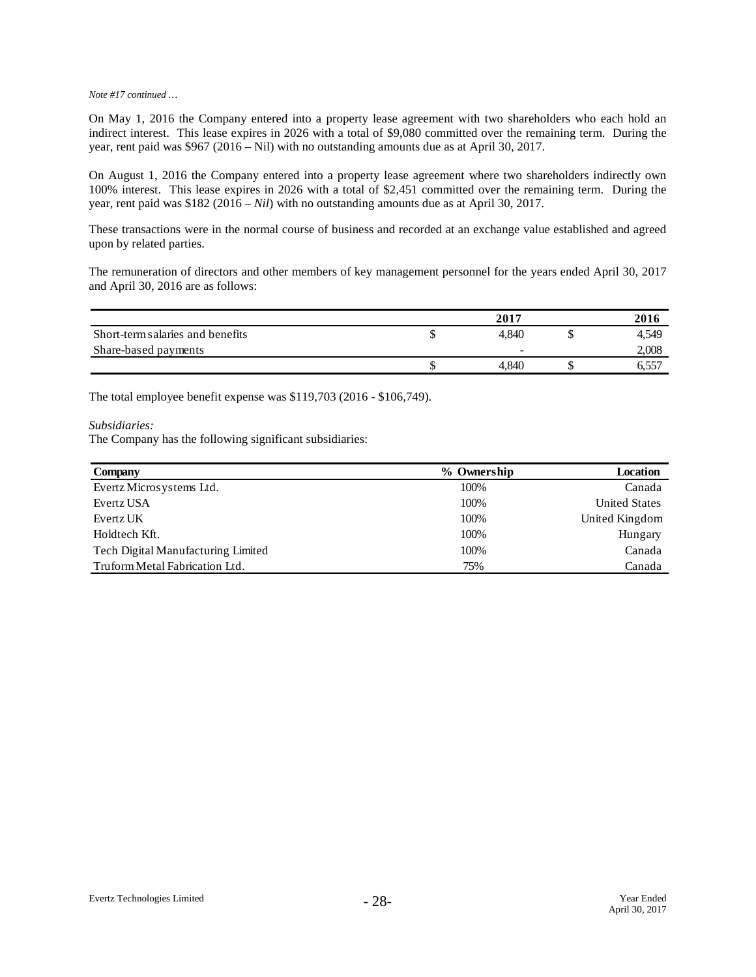On May 1, 2016 the Company entered into a property lease agreement with two shareholders who each hold an indirect interest. This lease expires in 2026 with a total of \$9,080 committed over the remaining term. During the year, rent paid was \$967 (2016 – Nil) with no outstanding amounts due as at April 30, 2017.

On August 1, 2016 the Company entered into a property lease agreement where two shareholders indirectly own 100% interest. This lease expires in 2026 with a total of \$2,451 committed over the remaining term. During the year, rent paid was \$182 (2016 – *Nil*) with no outstanding amounts due as at April 30, 2017.

These transactions were in the normal course of business and recorded at an exchange value established and agreed upon by related parties.

The remuneration of directors and other members of key management personnel for the years ended April 30, 2017 and April 30, 2016 are as follows:

|                                  | 2017  | 2016                |
|----------------------------------|-------|---------------------|
| Short-term salaries and benefits | 4.840 | 4,549               |
| Share-based payments             | -     | 2,008               |
|                                  | 4.840 | $6,55$ <sup>-</sup> |

The total employee benefit expense was \$119,703 (2016 - \$106,749).

*Subsidiaries:*

The Company has the following significant subsidiaries:

| Company                            | % Ownership | Location             |
|------------------------------------|-------------|----------------------|
| Evertz Microsystems Ltd.           | 100%        | Canada               |
| Evertz USA                         | 100%        | <b>United States</b> |
| Evertz UK                          | 100%        | United Kingdom       |
| Holdtech Kft.                      | 100%        | Hungary              |
| Tech Digital Manufacturing Limited | 100%        | Canada               |
| Truform Metal Fabrication Ltd.     | 75%         | Canada               |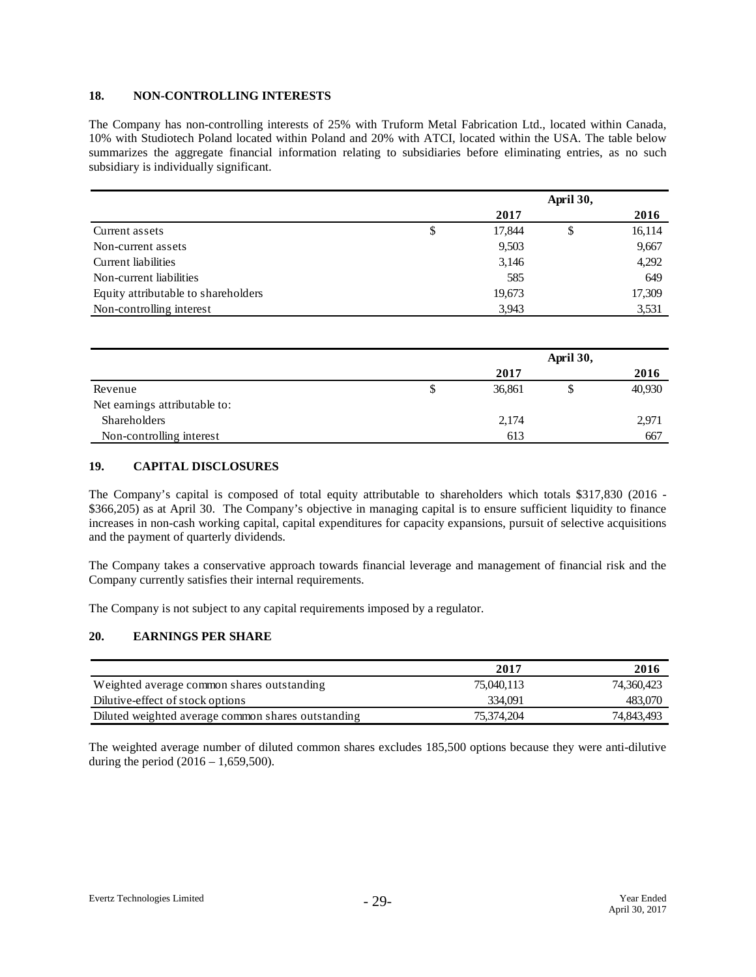#### **18. NON-CONTROLLING INTERESTS**

The Company has non-controlling interests of 25% with Truform Metal Fabrication Ltd., located within Canada, 10% with Studiotech Poland located within Poland and 20% with ATCI, located within the USA. The table below summarizes the aggregate financial information relating to subsidiaries before eliminating entries, as no such subsidiary is individually significant.

|                                     | April 30, |        |    |        |
|-------------------------------------|-----------|--------|----|--------|
|                                     |           | 2017   |    | 2016   |
| Current assets                      | \$        | 17,844 | \$ | 16,114 |
| Non-current assets                  |           | 9,503  |    | 9,667  |
| Current liabilities                 |           | 3,146  |    | 4,292  |
| Non-current liabilities             |           | 585    |    | 649    |
| Equity attributable to shareholders |           | 19,673 |    | 17,309 |
| Non-controlling interest            |           | 3,943  |    | 3,531  |

|                               | April 30, |        |  |        |
|-------------------------------|-----------|--------|--|--------|
|                               |           | 2017   |  | 2016   |
| Revenue                       | \$        | 36,861 |  | 40,930 |
| Net earnings attributable to: |           |        |  |        |
| Shareholders                  |           | 2,174  |  | 2,971  |
| Non-controlling interest      |           | 613    |  | 667    |

#### **19. CAPITAL DISCLOSURES**

The Company's capital is composed of total equity attributable to shareholders which totals \$317,830 (2016 - \$366,205) as at April 30. The Company's objective in managing capital is to ensure sufficient liquidity to finance increases in non-cash working capital, capital expenditures for capacity expansions, pursuit of selective acquisitions and the payment of quarterly dividends.

The Company takes a conservative approach towards financial leverage and management of financial risk and the Company currently satisfies their internal requirements.

The Company is not subject to any capital requirements imposed by a regulator.

#### **20. EARNINGS PER SHARE**

|                                                    | 2017       | 2016       |
|----------------------------------------------------|------------|------------|
| Weighted average common shares outstanding         | 75,040,113 | 74,360,423 |
| Dilutive-effect of stock options                   | 334,091    | 483,070    |
| Diluted weighted average common shares outstanding | 75.374.204 | 74,843,493 |

The weighted average number of diluted common shares excludes 185,500 options because they were anti-dilutive during the period  $(2016 - 1,659,500)$ .